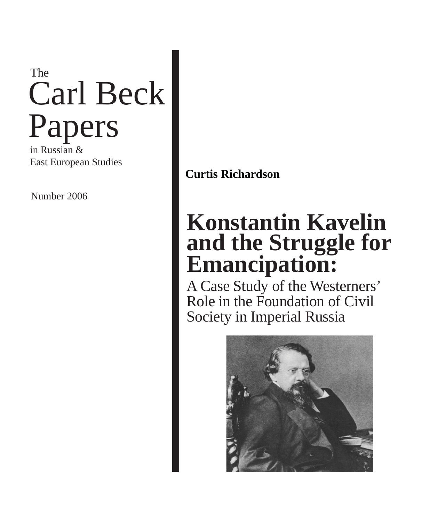# Carl Beck Papers The

in Russian & East European Studies

Number 2006

### **Curtis Richardson**

### **Konstantin Kavelin and the Struggle for Emancipation:**

A Case Study of the Westerners' Role in the Foundation of Civil Society in Imperial Russia

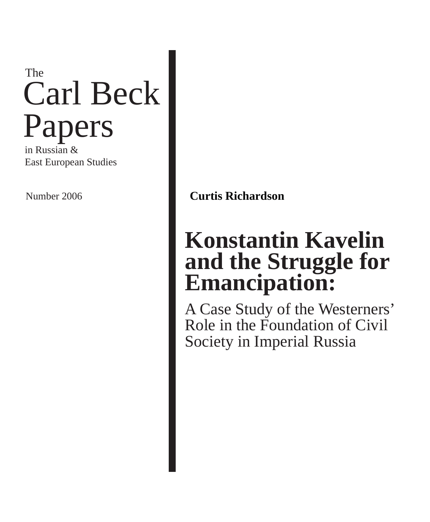# Carl Beck Papers The

in Russian & East European Studies

Number 2006 **Curtis Richardson**

## **Konstantin Kavelin and the Struggle for Emancipation:**

A Case Study of the Westerners' Role in the Foundation of Civil Society in Imperial Russia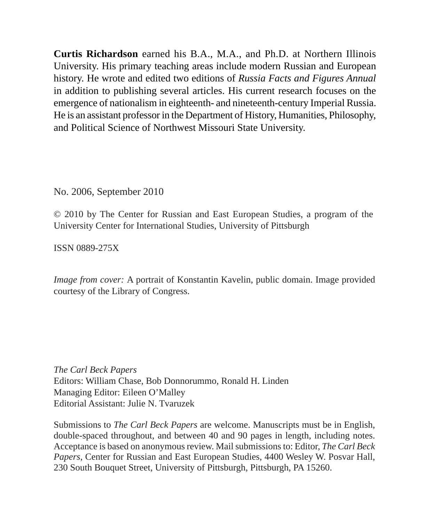**Curtis Richardson** earned his B.A., M.A., and Ph.D. at Northern Illinois University. His primary teaching areas include modern Russian and European history. He wrote and edited two editions of *Russia Facts and Figures Annual*  in addition to publishing several articles. His current research focuses on the emergence of nationalism in eighteenth- and nineteenth-century Imperial Russia. He is an assistant professor in the Department of History, Humanities, Philosophy, and Political Science of Northwest Missouri State University.

No. 2006, September 2010

© 2010 by The Center for Russian and East European Studies, a program of the University Center for International Studies, University of Pittsburgh

ISSN 0889-275X

*Image from cover:* A portrait of Konstantin Kavelin, public domain. Image provided courtesy of the Library of Congress.

*The Carl Beck Papers* Editors: William Chase, Bob Donnorummo, Ronald H. Linden Managing Editor: Eileen O'Malley Editorial Assistant: Julie N. Tvaruzek

Submissions to *The Carl Beck Papers* are welcome. Manuscripts must be in English, double-spaced throughout, and between 40 and 90 pages in length, including notes. Acceptance is based on anonymous review. Mail submissions to: Editor, *The Carl Beck Papers*, Center for Russian and East European Studies, 4400 Wesley W. Posvar Hall, 230 South Bouquet Street, University of Pittsburgh, Pittsburgh, PA 15260.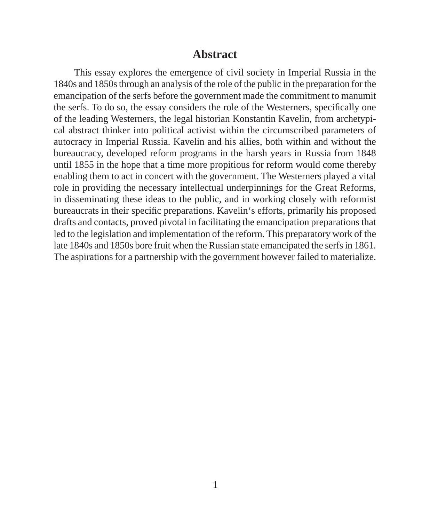#### **Abstract**

This essay explores the emergence of civil society in Imperial Russia in the 1840s and 1850s through an analysis of the role of the public in the preparation for the emancipation of the serfs before the government made the commitment to manumit the serfs. To do so, the essay considers the role of the Westerners, specifically one of the leading Westerners, the legal historian Konstantin Kavelin, from archetypical abstract thinker into political activist within the circumscribed parameters of autocracy in Imperial Russia. Kavelin and his allies, both within and without the bureaucracy, developed reform programs in the harsh years in Russia from 1848 until 1855 in the hope that a time more propitious for reform would come thereby enabling them to act in concert with the government. The Westerners played a vital role in providing the necessary intellectual underpinnings for the Great Reforms, in disseminating these ideas to the public, and in working closely with reformist bureaucrats in their specific preparations. Kavelin's efforts, primarily his proposed drafts and contacts, proved pivotal in facilitating the emancipation preparations that led to the legislation and implementation of the reform. This preparatory work of the late 1840s and 1850s bore fruit when the Russian state emancipated the serfs in 1861. The aspirations for a partnership with the government however failed to materialize.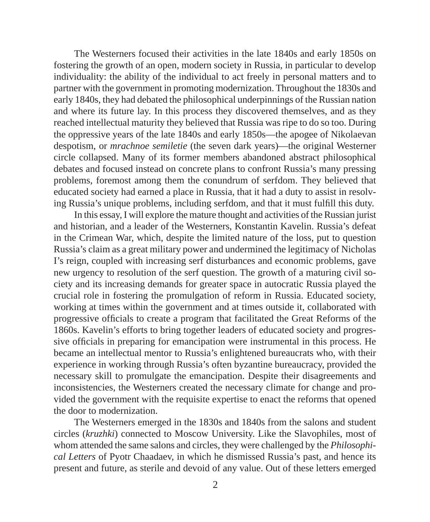The Westerners focused their activities in the late 1840s and early 1850s on fostering the growth of an open, modern society in Russia, in particular to develop individuality: the ability of the individual to act freely in personal matters and to partner with the government in promoting modernization. Throughout the 1830s and early 1840s, they had debated the philosophical underpinnings of the Russian nation and where its future lay. In this process they discovered themselves, and as they reached intellectual maturity they believed that Russia was ripe to do so too. During the oppressive years of the late 1840s and early 1850s—the apogee of Nikolaevan despotism, or *mrachnoe semiletie* (the seven dark years)—the original Westerner circle collapsed. Many of its former members abandoned abstract philosophical debates and focused instead on concrete plans to confront Russia's many pressing problems, foremost among them the conundrum of serfdom. They believed that educated society had earned a place in Russia, that it had a duty to assist in resolving Russia's unique problems, including serfdom, and that it must fulfill this duty.

In this essay, I will explore the mature thought and activities of the Russian jurist and historian, and a leader of the Westerners, Konstantin Kavelin. Russia's defeat in the Crimean War, which, despite the limited nature of the loss, put to question Russia's claim as a great military power and undermined the legitimacy of Nicholas I's reign, coupled with increasing serf disturbances and economic problems, gave new urgency to resolution of the serf question. The growth of a maturing civil society and its increasing demands for greater space in autocratic Russia played the crucial role in fostering the promulgation of reform in Russia. Educated society, working at times within the government and at times outside it, collaborated with progressive officials to create a program that facilitated the Great Reforms of the 1860s. Kavelin's efforts to bring together leaders of educated society and progressive officials in preparing for emancipation were instrumental in this process. He became an intellectual mentor to Russia's enlightened bureaucrats who, with their experience in working through Russia's often byzantine bureaucracy, provided the necessary skill to promulgate the emancipation. Despite their disagreements and inconsistencies, the Westerners created the necessary climate for change and provided the government with the requisite expertise to enact the reforms that opened the door to modernization.

The Westerners emerged in the 1830s and 1840s from the salons and student circles (*kruzhki*) connected to Moscow University. Like the Slavophiles, most of whom attended the same salons and circles, they were challenged by the *Philosophical Letters* of Pyotr Chaadaev, in which he dismissed Russia's past, and hence its present and future, as sterile and devoid of any value. Out of these letters emerged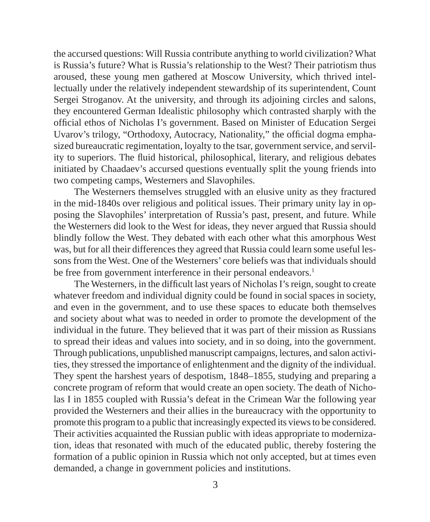the accursed questions: Will Russia contribute anything to world civilization? What is Russia's future? What is Russia's relationship to the West? Their patriotism thus aroused, these young men gathered at Moscow University, which thrived intellectually under the relatively independent stewardship of its superintendent, Count Sergei Stroganov. At the university, and through its adjoining circles and salons, they encountered German Idealistic philosophy which contrasted sharply with the official ethos of Nicholas I's government. Based on Minister of Education Sergei Uvarov's trilogy, "Orthodoxy, Autocracy, Nationality," the official dogma emphasized bureaucratic regimentation, loyalty to the tsar, government service, and servility to superiors. The fluid historical, philosophical, literary, and religious debates initiated by Chaadaev's accursed questions eventually split the young friends into two competing camps, Westerners and Slavophiles.

The Westerners themselves struggled with an elusive unity as they fractured in the mid-1840s over religious and political issues. Their primary unity lay in opposing the Slavophiles' interpretation of Russia's past, present, and future. While the Westerners did look to the West for ideas, they never argued that Russia should blindly follow the West. They debated with each other what this amorphous West was, but for all their differences they agreed that Russia could learn some useful lessons from the West. One of the Westerners' core beliefs was that individuals should be free from government interference in their personal endeavors.<sup>1</sup>

The Westerners, in the difficult last years of Nicholas I's reign, sought to create whatever freedom and individual dignity could be found in social spaces in society, and even in the government, and to use these spaces to educate both themselves and society about what was to needed in order to promote the development of the individual in the future. They believed that it was part of their mission as Russians to spread their ideas and values into society, and in so doing, into the government. Through publications, unpublished manuscript campaigns, lectures, and salon activities, they stressed the importance of enlightenment and the dignity of the individual. They spent the harshest years of despotism, 1848–1855, studying and preparing a concrete program of reform that would create an open society. The death of Nicholas I in 1855 coupled with Russia's defeat in the Crimean War the following year provided the Westerners and their allies in the bureaucracy with the opportunity to promote this program to a public that increasingly expected its views to be considered. Their activities acquainted the Russian public with ideas appropriate to modernization, ideas that resonated with much of the educated public, thereby fostering the formation of a public opinion in Russia which not only accepted, but at times even demanded, a change in government policies and institutions.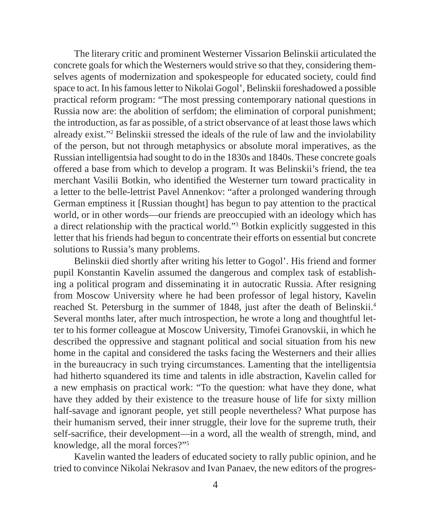The literary critic and prominent Westerner Vissarion Belinskii articulated the concrete goals for which the Westerners would strive so that they, considering themselves agents of modernization and spokespeople for educated society, could find space to act. In his famous letter to Nikolai Gogol', Belinskii foreshadowed a possible practical reform program: "The most pressing contemporary national questions in Russia now are: the abolition of serfdom; the elimination of corporal punishment; the introduction, as far as possible, of a strict observance of at least those laws which already exist."2 Belinskii stressed the ideals of the rule of law and the inviolability of the person, but not through metaphysics or absolute moral imperatives, as the Russian intelligentsia had sought to do in the 1830s and 1840s. These concrete goals offered a base from which to develop a program. It was Belinskii's friend, the tea merchant Vasilii Botkin, who identified the Westerner turn toward practicality in a letter to the belle-lettrist Pavel Annenkov: "after a prolonged wandering through German emptiness it [Russian thought] has begun to pay attention to the practical world, or in other words—our friends are preoccupied with an ideology which has a direct relationship with the practical world."3 Botkin explicitly suggested in this letter that his friends had begun to concentrate their efforts on essential but concrete solutions to Russia's many problems.

Belinskii died shortly after writing his letter to Gogol'. His friend and former pupil Konstantin Kavelin assumed the dangerous and complex task of establishing a political program and disseminating it in autocratic Russia. After resigning from Moscow University where he had been professor of legal history, Kavelin reached St. Petersburg in the summer of 1848, just after the death of Belinskii.<sup>4</sup> Several months later, after much introspection, he wrote a long and thoughtful letter to his former colleague at Moscow University, Timofei Granovskii, in which he described the oppressive and stagnant political and social situation from his new home in the capital and considered the tasks facing the Westerners and their allies in the bureaucracy in such trying circumstances. Lamenting that the intelligentsia had hitherto squandered its time and talents in idle abstraction, Kavelin called for a new emphasis on practical work: "To the question: what have they done, what have they added by their existence to the treasure house of life for sixty million half-savage and ignorant people, yet still people nevertheless? What purpose has their humanism served, their inner struggle, their love for the supreme truth, their self-sacrifice, their development—in a word, all the wealth of strength, mind, and knowledge, all the moral forces?"5

Kavelin wanted the leaders of educated society to rally public opinion, and he tried to convince Nikolai Nekrasov and Ivan Panaev, the new editors of the progres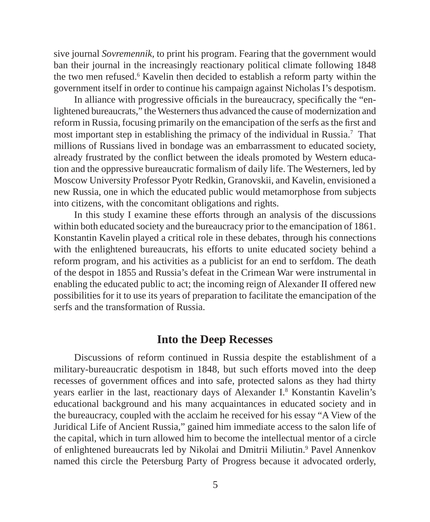sive journal *Sovremennik,* to print his program. Fearing that the government would ban their journal in the increasingly reactionary political climate following 1848 the two men refused.6 Kavelin then decided to establish a reform party within the government itself in order to continue his campaign against Nicholas I's despotism.

In alliance with progressive officials in the bureaucracy, specifically the "enlightened bureaucrats," the Westerners thus advanced the cause of modernization and reform in Russia, focusing primarily on the emancipation of the serfs as the first and most important step in establishing the primacy of the individual in Russia.7 That millions of Russians lived in bondage was an embarrassment to educated society, already frustrated by the conflict between the ideals promoted by Western education and the oppressive bureaucratic formalism of daily life. The Westerners, led by Moscow University Professor Pyotr Redkin, Granovskii, and Kavelin, envisioned a new Russia, one in which the educated public would metamorphose from subjects into citizens, with the concomitant obligations and rights.

In this study I examine these efforts through an analysis of the discussions within both educated society and the bureaucracy prior to the emancipation of 1861. Konstantin Kavelin played a critical role in these debates, through his connections with the enlightened bureaucrats, his efforts to unite educated society behind a reform program, and his activities as a publicist for an end to serfdom. The death of the despot in 1855 and Russia's defeat in the Crimean War were instrumental in enabling the educated public to act; the incoming reign of Alexander II offered new possibilities for it to use its years of preparation to facilitate the emancipation of the serfs and the transformation of Russia.

#### **Into the Deep Recesses**

Discussions of reform continued in Russia despite the establishment of a military-bureaucratic despotism in 1848, but such efforts moved into the deep recesses of government offices and into safe, protected salons as they had thirty years earlier in the last, reactionary days of Alexander I.8 Konstantin Kavelin's educational background and his many acquaintances in educated society and in the bureaucracy, coupled with the acclaim he received for his essay "A View of the Juridical Life of Ancient Russia," gained him immediate access to the salon life of the capital, which in turn allowed him to become the intellectual mentor of a circle of enlightened bureaucrats led by Nikolai and Dmitrii Miliutin.<sup>9</sup> Pavel Annenkov named this circle the Petersburg Party of Progress because it advocated orderly,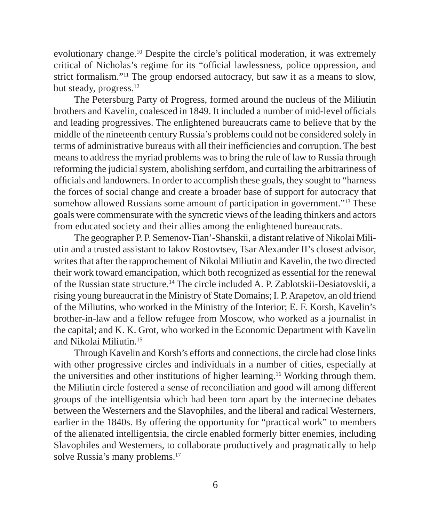evolutionary change.10 Despite the circle's political moderation, it was extremely critical of Nicholas's regime for its "official lawlessness, police oppression, and strict formalism."11 The group endorsed autocracy, but saw it as a means to slow, but steady, progress.<sup>12</sup>

The Petersburg Party of Progress, formed around the nucleus of the Miliutin brothers and Kavelin, coalesced in 1849. It included a number of mid-level officials and leading progressives. The enlightened bureaucrats came to believe that by the middle of the nineteenth century Russia's problems could not be considered solely in terms of administrative bureaus with all their inefficiencies and corruption. The best means to address the myriad problems was to bring the rule of law to Russia through reforming the judicial system, abolishing serfdom, and curtailing the arbitrariness of officials and landowners. In order to accomplish these goals, they sought to "harness" the forces of social change and create a broader base of support for autocracy that somehow allowed Russians some amount of participation in government."<sup>13</sup> These goals were commensurate with the syncretic views of the leading thinkers and actors from educated society and their allies among the enlightened bureaucrats.

The geographer P. P. Semenov-Tian'-Shanskii, a distant relative of Nikolai Miliutin and a trusted assistant to Iakov Rostovtsev, Tsar Alexander II's closest advisor, writes that after the rapprochement of Nikolai Miliutin and Kavelin, the two directed their work toward emancipation, which both recognized as essential for the renewal of the Russian state structure.14 The circle included A. P. Zablotskii-Desiatovskii, a rising young bureaucrat in the Ministry of State Domains; I. P. Arapetov, an old friend of the Miliutins, who worked in the Ministry of the Interior; E. F. Korsh, Kavelin's brother-in-law and a fellow refugee from Moscow, who worked as a journalist in the capital; and K. K. Grot, who worked in the Economic Department with Kavelin and Nikolai Miliutin.15

Through Kavelin and Korsh's efforts and connections, the circle had close links with other progressive circles and individuals in a number of cities, especially at the universities and other institutions of higher learning.16 Working through them, the Miliutin circle fostered a sense of reconciliation and good will among different groups of the intelligentsia which had been torn apart by the internecine debates between the Westerners and the Slavophiles, and the liberal and radical Westerners, earlier in the 1840s. By offering the opportunity for "practical work" to members of the alienated intelligentsia, the circle enabled formerly bitter enemies, including Slavophiles and Westerners, to collaborate productively and pragmatically to help solve Russia's many problems.17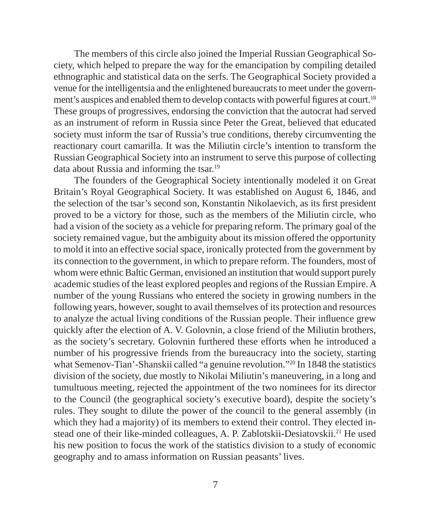The members of this circle also joined the Imperial Russian Geographical Society, which helped to prepare the way for the emancipation by compiling detailed ethnographic and statistical data on the serfs. The Geographical Society provided a venue for the intelligentsia and the enlightened bureaucrats to meet under the government's auspices and enabled them to develop contacts with powerful figures at court.<sup>18</sup> These groups of progressives, endorsing the conviction that the autocrat had served as an instrument of reform in Russia since Peter the Great, believed that educated society must inform the tsar of Russia's true conditions, thereby circumventing the reactionary court camarilla. It was the Miliutin circle's intention to transform the Russian Geographical Society into an instrument to serve this purpose of collecting data about Russia and informing the tsar.19

The founders of the Geographical Society intentionally modeled it on Great Britain's Royal Geographical Society. It was established on August 6, 1846, and the selection of the tsar's second son, Konstantin Nikolaevich, as its first president proved to be a victory for those, such as the members of the Miliutin circle, who had a vision of the society as a vehicle for preparing reform. The primary goal of the society remained vague, but the ambiguity about its mission offered the opportunity to mold it into an effective social space, ironically protected from the government by its connection to the government, in which to prepare reform. The founders, most of whom were ethnic Baltic German, envisioned an institution that would support purely academic studies of the least explored peoples and regions of the Russian Empire. A number of the young Russians who entered the society in growing numbers in the following years, however, sought to avail themselves of its protection and resources to analyze the actual living conditions of the Russian people. Their influence grew quickly after the election of A. V. Golovnin, a close friend of the Miliutin brothers, as the society's secretary. Golovnin furthered these efforts when he introduced a number of his progressive friends from the bureaucracy into the society, starting what Semenov-Tian'-Shanskii called "a genuine revolution."<sup>20</sup> In 1848 the statistics division of the society, due mostly to Nikolai Miliutin's maneuvering, in a long and tumultuous meeting, rejected the appointment of the two nominees for its director to the Council (the geographical society's executive board), despite the society's rules. They sought to dilute the power of the council to the general assembly (in which they had a majority) of its members to extend their control. They elected instead one of their like-minded colleagues, A. P. Zablotskii-Desiatovskii.21 He used his new position to focus the work of the statistics division to a study of economic geography and to amass information on Russian peasants' lives.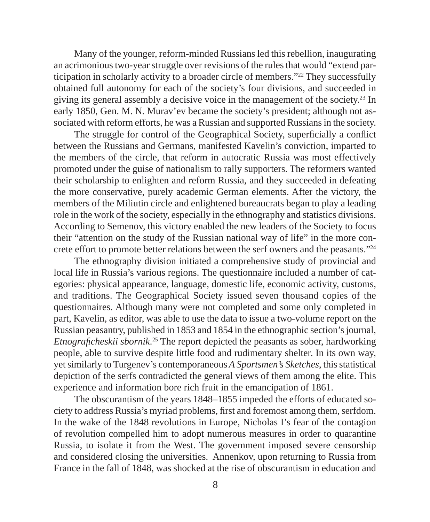Many of the younger, reform-minded Russians led this rebellion, inaugurating an acrimonious two-year struggle over revisions of the rules that would "extend participation in scholarly activity to a broader circle of members."22 They successfully obtained full autonomy for each of the society's four divisions, and succeeded in giving its general assembly a decisive voice in the management of the society.23 In early 1850, Gen. M. N. Murav'ev became the society's president; although not associated with reform efforts, he was a Russian and supported Russians in the society.

The struggle for control of the Geographical Society, superficially a conflict between the Russians and Germans, manifested Kavelin's conviction, imparted to the members of the circle, that reform in autocratic Russia was most effectively promoted under the guise of nationalism to rally supporters. The reformers wanted their scholarship to enlighten and reform Russia, and they succeeded in defeating the more conservative, purely academic German elements. After the victory, the members of the Miliutin circle and enlightened bureaucrats began to play a leading role in the work of the society, especially in the ethnography and statistics divisions. According to Semenov, this victory enabled the new leaders of the Society to focus their "attention on the study of the Russian national way of life" in the more concrete effort to promote better relations between the serf owners and the peasants."24

The ethnography division initiated a comprehensive study of provincial and local life in Russia's various regions. The questionnaire included a number of categories: physical appearance, language, domestic life, economic activity, customs, and traditions. The Geographical Society issued seven thousand copies of the questionnaires. Although many were not completed and some only completed in part, Kavelin, as editor, was able to use the data to issue a two-volume report on the Russian peasantry, published in 1853 and 1854 in the ethnographic section's journal, *Etnograficheskii sbornik*.<sup>25</sup> The report depicted the peasants as sober, hardworking people, able to survive despite little food and rudimentary shelter. In its own way, yet similarly to Turgenev's contemporaneous *A Sportsmen's Sketches*, this statistical depiction of the serfs contradicted the general views of them among the elite. This experience and information bore rich fruit in the emancipation of 1861.

The obscurantism of the years 1848–1855 impeded the efforts of educated society to address Russia's myriad problems, first and foremost among them, serfdom. In the wake of the 1848 revolutions in Europe, Nicholas I's fear of the contagion of revolution compelled him to adopt numerous measures in order to quarantine Russia, to isolate it from the West. The government imposed severe censorship and considered closing the universities. Annenkov, upon returning to Russia from France in the fall of 1848, was shocked at the rise of obscurantism in education and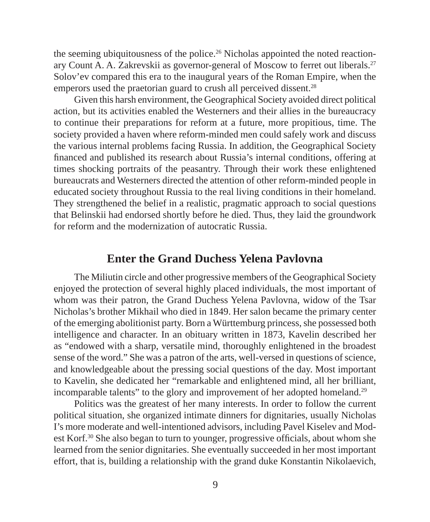the seeming ubiquitousness of the police.<sup>26</sup> Nicholas appointed the noted reactionary Count A. A. Zakrevskii as governor-general of Moscow to ferret out liberals.27 Solov'ev compared this era to the inaugural years of the Roman Empire, when the emperors used the praetorian guard to crush all perceived dissent.<sup>28</sup>

Given this harsh environment, the Geographical Society avoided direct political action, but its activities enabled the Westerners and their allies in the bureaucracy to continue their preparations for reform at a future, more propitious, time. The society provided a haven where reform-minded men could safely work and discuss the various internal problems facing Russia. In addition, the Geographical Society financed and published its research about Russia's internal conditions, offering at times shocking portraits of the peasantry. Through their work these enlightened bureaucrats and Westerners directed the attention of other reform-minded people in educated society throughout Russia to the real living conditions in their homeland. They strengthened the belief in a realistic, pragmatic approach to social questions that Belinskii had endorsed shortly before he died. Thus, they laid the groundwork for reform and the modernization of autocratic Russia.

#### **Enter the Grand Duchess Yelena Pavlovna**

The Miliutin circle and other progressive members of the Geographical Society enjoyed the protection of several highly placed individuals, the most important of whom was their patron, the Grand Duchess Yelena Pavlovna, widow of the Tsar Nicholas's brother Mikhail who died in 1849. Her salon became the primary center of the emerging abolitionist party. Born a Württemburg princess, she possessed both intelligence and character. In an obituary written in 1873, Kavelin described her as "endowed with a sharp, versatile mind, thoroughly enlightened in the broadest sense of the word." She was a patron of the arts, well-versed in questions of science, and knowledgeable about the pressing social questions of the day. Most important to Kavelin, she dedicated her "remarkable and enlightened mind, all her brilliant, incomparable talents" to the glory and improvement of her adopted homeland.<sup>29</sup>

Politics was the greatest of her many interests. In order to follow the current political situation, she organized intimate dinners for dignitaries, usually Nicholas I's more moderate and well-intentioned advisors, including Pavel Kiselev and Modest Korf.<sup>30</sup> She also began to turn to younger, progressive officials, about whom she learned from the senior dignitaries. She eventually succeeded in her most important effort, that is, building a relationship with the grand duke Konstantin Nikolaevich,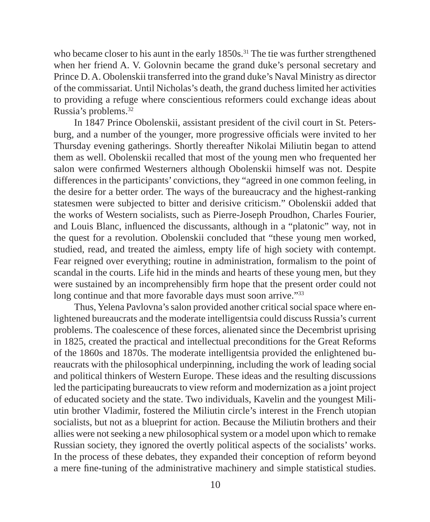who became closer to his aunt in the early 1850s.<sup>31</sup> The tie was further strengthened when her friend A. V. Golovnin became the grand duke's personal secretary and Prince D. A. Obolenskii transferred into the grand duke's Naval Ministry as director of the commissariat. Until Nicholas's death, the grand duchess limited her activities to providing a refuge where conscientious reformers could exchange ideas about Russia's problems.32

In 1847 Prince Obolenskii, assistant president of the civil court in St. Petersburg, and a number of the younger, more progressive officials were invited to her Thursday evening gatherings. Shortly thereafter Nikolai Miliutin began to attend them as well. Obolenskii recalled that most of the young men who frequented her salon were confirmed Westerners although Obolenskii himself was not. Despite differences in the participants' convictions, they "agreed in one common feeling, in the desire for a better order. The ways of the bureaucracy and the highest-ranking statesmen were subjected to bitter and derisive criticism." Obolenskii added that the works of Western socialists, such as Pierre-Joseph Proudhon, Charles Fourier, and Louis Blanc, influenced the discussants, although in a "platonic" way, not in the quest for a revolution. Obolenskii concluded that "these young men worked, studied, read, and treated the aimless, empty life of high society with contempt. Fear reigned over everything; routine in administration, formalism to the point of scandal in the courts. Life hid in the minds and hearts of these young men, but they were sustained by an incomprehensibly firm hope that the present order could not long continue and that more favorable days must soon arrive."33

Thus, Yelena Pavlovna's salon provided another critical social space where enlightened bureaucrats and the moderate intelligentsia could discuss Russia's current problems. The coalescence of these forces, alienated since the Decembrist uprising in 1825, created the practical and intellectual preconditions for the Great Reforms of the 1860s and 1870s. The moderate intelligentsia provided the enlightened bureaucrats with the philosophical underpinning, including the work of leading social and political thinkers of Western Europe. These ideas and the resulting discussions led the participating bureaucrats to view reform and modernization as a joint project of educated society and the state. Two individuals, Kavelin and the youngest Miliutin brother Vladimir, fostered the Miliutin circle's interest in the French utopian socialists, but not as a blueprint for action. Because the Miliutin brothers and their allies were not seeking a new philosophical system or a model upon which to remake Russian society, they ignored the overtly political aspects of the socialists' works. In the process of these debates, they expanded their conception of reform beyond a mere fine-tuning of the administrative machinery and simple statistical studies.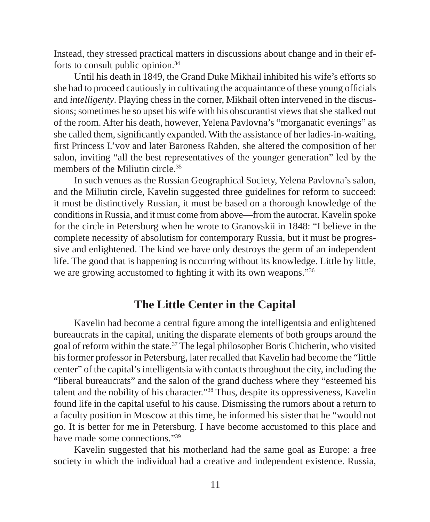Instead, they stressed practical matters in discussions about change and in their efforts to consult public opinion.34

Until his death in 1849, the Grand Duke Mikhail inhibited his wife's efforts so she had to proceed cautiously in cultivating the acquaintance of these young officials and *intelligenty*. Playing chess in the corner, Mikhail often intervened in the discussions; sometimes he so upset his wife with his obscurantist views that she stalked out of the room. After his death, however, Yelena Pavlovna's "morganatic evenings" as she called them, significantly expanded. With the assistance of her ladies-in-waiting, first Princess L'vov and later Baroness Rahden, she altered the composition of her salon, inviting "all the best representatives of the younger generation" led by the members of the Miliutin circle.<sup>35</sup>

In such venues as the Russian Geographical Society, Yelena Pavlovna's salon, and the Miliutin circle, Kavelin suggested three guidelines for reform to succeed: it must be distinctively Russian, it must be based on a thorough knowledge of the conditions in Russia, and it must come from above—from the autocrat. Kavelin spoke for the circle in Petersburg when he wrote to Granovskii in 1848: "I believe in the complete necessity of absolutism for contemporary Russia, but it must be progressive and enlightened. The kind we have only destroys the germ of an independent life. The good that is happening is occurring without its knowledge. Little by little, we are growing accustomed to fighting it with its own weapons."<sup>36</sup>

#### **The Little Center in the Capital**

Kavelin had become a central figure among the intelligentsia and enlightened bureaucrats in the capital, uniting the disparate elements of both groups around the goal of reform within the state.37 The legal philosopher Boris Chicherin, who visited his former professor in Petersburg, later recalled that Kavelin had become the "little center" of the capital's intelligentsia with contacts throughout the city, including the "liberal bureaucrats" and the salon of the grand duchess where they "esteemed his talent and the nobility of his character."38 Thus, despite its oppressiveness, Kavelin found life in the capital useful to his cause. Dismissing the rumors about a return to a faculty position in Moscow at this time, he informed his sister that he "would not go. It is better for me in Petersburg. I have become accustomed to this place and have made some connections."39

Kavelin suggested that his motherland had the same goal as Europe: a free society in which the individual had a creative and independent existence. Russia,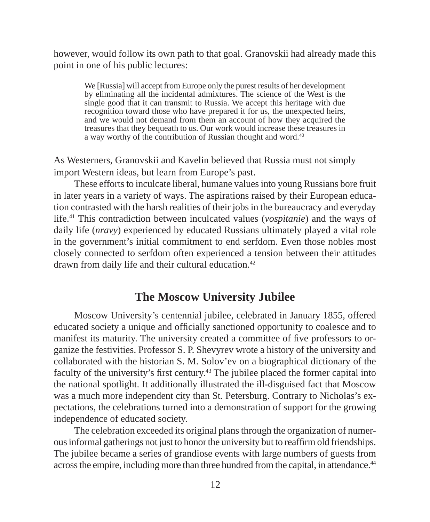however, would follow its own path to that goal. Granovskii had already made this point in one of his public lectures:

We [Russia] will accept from Europe only the purest results of her development by eliminating all the incidental admixtures. The science of the West is the single good that it can transmit to Russia. We accept this heritage with due recognition toward those who have prepared it for us, the unexpected heirs, and we would not demand from them an account of how they acquired the treasures that they bequeath to us. Our work would increase these treasures in a way worthy of the contribution of Russian thought and word.40

As Westerners, Granovskii and Kavelin believed that Russia must not simply import Western ideas, but learn from Europe's past.

These efforts to inculcate liberal, humane values into young Russians bore fruit in later years in a variety of ways. The aspirations raised by their European education contrasted with the harsh realities of their jobs in the bureaucracy and everyday life.41 This contradiction between inculcated values (*vospitanie*) and the ways of daily life (*nravy*) experienced by educated Russians ultimately played a vital role in the government's initial commitment to end serfdom. Even those nobles most closely connected to serfdom often experienced a tension between their attitudes drawn from daily life and their cultural education.42

#### **The Moscow University Jubilee**

Moscow University's centennial jubilee, celebrated in January 1855, offered educated society a unique and officially sanctioned opportunity to coalesce and to manifest its maturity. The university created a committee of five professors to organize the festivities. Professor S. P. Shevyrev wrote a history of the university and collaborated with the historian S. M. Solov'ev on a biographical dictionary of the faculty of the university's first century.<sup>43</sup> The jubilee placed the former capital into the national spotlight. It additionally illustrated the ill-disguised fact that Moscow was a much more independent city than St. Petersburg. Contrary to Nicholas's expectations, the celebrations turned into a demonstration of support for the growing independence of educated society.

The celebration exceeded its original plans through the organization of numerous informal gatherings not just to honor the university but to reaffirm old friendships. The jubilee became a series of grandiose events with large numbers of guests from across the empire, including more than three hundred from the capital, in attendance.44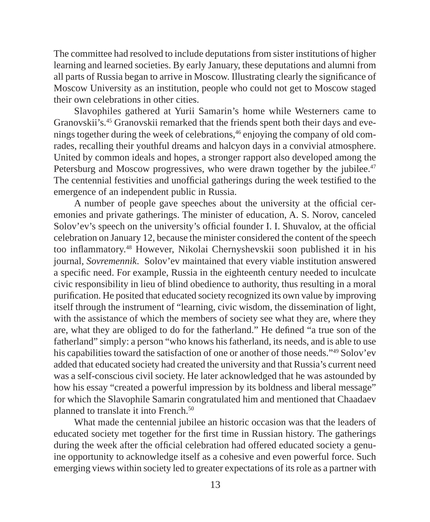The committee had resolved to include deputations from sister institutions of higher learning and learned societies. By early January, these deputations and alumni from all parts of Russia began to arrive in Moscow. Illustrating clearly the significance of Moscow University as an institution, people who could not get to Moscow staged their own celebrations in other cities.

Slavophiles gathered at Yurii Samarin's home while Westerners came to Granovskii's.<sup>45</sup> Granovskii remarked that the friends spent both their days and evenings together during the week of celebrations,46 enjoying the company of old comrades, recalling their youthful dreams and halcyon days in a convivial atmosphere. United by common ideals and hopes, a stronger rapport also developed among the Petersburg and Moscow progressives, who were drawn together by the jubilee.<sup>47</sup> The centennial festivities and unofficial gatherings during the week testified to the emergence of an independent public in Russia.

A number of people gave speeches about the university at the official ceremonies and private gatherings. The minister of education, A. S. Norov, canceled Solov'ev's speech on the university's official founder I. I. Shuvalov, at the official celebration on January 12, because the minister considered the content of the speech too inflammatory.<sup>48</sup> However, Nikolai Chernyshevskii soon published it in his journal, *Sovremennik*. Solov'ev maintained that every viable institution answered a specific need. For example, Russia in the eighteenth century needed to inculcate civic responsibility in lieu of blind obedience to authority, thus resulting in a moral purification. He posited that educated society recognized its own value by improving itself through the instrument of "learning, civic wisdom, the dissemination of light, with the assistance of which the members of society see what they are, where they are, what they are obliged to do for the fatherland." He defined "a true son of the fatherland" simply: a person "who knows his fatherland, its needs, and is able to use his capabilities toward the satisfaction of one or another of those needs."49 Solov'ev added that educated society had created the university and that Russia's current need was a self-conscious civil society. He later acknowledged that he was astounded by how his essay "created a powerful impression by its boldness and liberal message" for which the Slavophile Samarin congratulated him and mentioned that Chaadaev planned to translate it into French.50

What made the centennial jubilee an historic occasion was that the leaders of educated society met together for the first time in Russian history. The gatherings during the week after the official celebration had offered educated society a genuine opportunity to acknowledge itself as a cohesive and even powerful force. Such emerging views within society led to greater expectations of its role as a partner with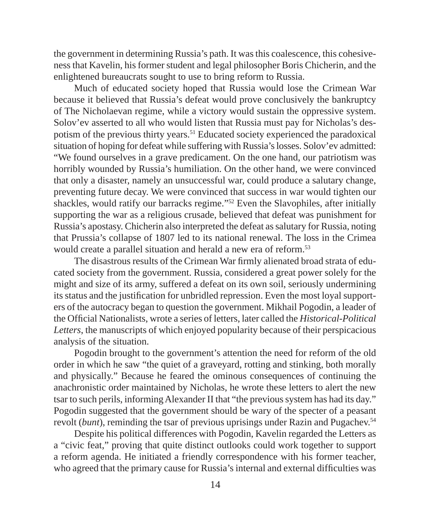the government in determining Russia's path. It was this coalescence, this cohesiveness that Kavelin, his former student and legal philosopher Boris Chicherin, and the enlightened bureaucrats sought to use to bring reform to Russia.

Much of educated society hoped that Russia would lose the Crimean War because it believed that Russia's defeat would prove conclusively the bankruptcy of The Nicholaevan regime, while a victory would sustain the oppressive system. Solov'ev asserted to all who would listen that Russia must pay for Nicholas's despotism of the previous thirty years.51 Educated society experienced the paradoxical situation of hoping for defeat while suffering with Russia's losses. Solov'ev admitted: "We found ourselves in a grave predicament. On the one hand, our patriotism was horribly wounded by Russia's humiliation. On the other hand, we were convinced that only a disaster, namely an unsuccessful war, could produce a salutary change, preventing future decay. We were convinced that success in war would tighten our shackles, would ratify our barracks regime."52 Even the Slavophiles, after initially supporting the war as a religious crusade, believed that defeat was punishment for Russia's apostasy. Chicherin also interpreted the defeat as salutary for Russia, noting that Prussia's collapse of 1807 led to its national renewal. The loss in the Crimea would create a parallel situation and herald a new era of reform.<sup>53</sup>

The disastrous results of the Crimean War firmly alienated broad strata of educated society from the government. Russia, considered a great power solely for the might and size of its army, suffered a defeat on its own soil, seriously undermining its status and the justification for unbridled repression. Even the most loyal supporters of the autocracy began to question the government. Mikhail Pogodin, a leader of the Official Nationalists, wrote a series of letters, later called the *Historical-Political Letters*, the manuscripts of which enjoyed popularity because of their perspicacious analysis of the situation.

Pogodin brought to the government's attention the need for reform of the old order in which he saw "the quiet of a graveyard, rotting and stinking, both morally and physically." Because he feared the ominous consequences of continuing the anachronistic order maintained by Nicholas, he wrote these letters to alert the new tsar to such perils, informing Alexander II that "the previous system has had its day." Pogodin suggested that the government should be wary of the specter of a peasant revolt (*bunt*), reminding the tsar of previous uprisings under Razin and Pugachev.<sup>54</sup>

Despite his political differences with Pogodin, Kavelin regarded the Letters as a "civic feat," proving that quite distinct outlooks could work together to support a reform agenda. He initiated a friendly correspondence with his former teacher, who agreed that the primary cause for Russia's internal and external difficulties was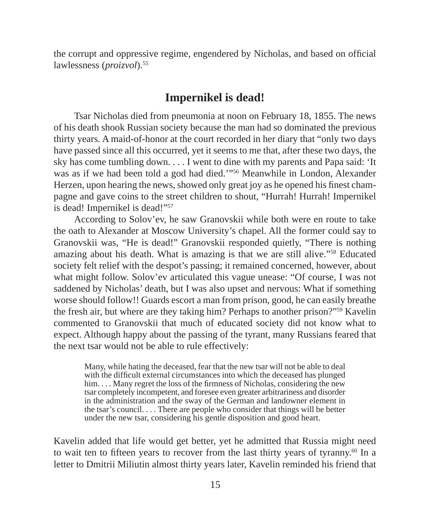the corrupt and oppressive regime, engendered by Nicholas, and based on official lawlessness (*proizvol*).55

#### **Impernikel is dead!**

Tsar Nicholas died from pneumonia at noon on February 18, 1855. The news of his death shook Russian society because the man had so dominated the previous thirty years. A maid-of-honor at the court recorded in her diary that "only two days have passed since all this occurred, yet it seems to me that, after these two days, the sky has come tumbling down. . . . I went to dine with my parents and Papa said: 'It was as if we had been told a god had died.'"56 Meanwhile in London, Alexander Herzen, upon hearing the news, showed only great joy as he opened his finest champagne and gave coins to the street children to shout, "Hurrah! Hurrah! Impernikel is dead! Impernikel is dead!"57

According to Solov'ev, he saw Granovskii while both were en route to take the oath to Alexander at Moscow University's chapel. All the former could say to Granovskii was, "He is dead!" Granovskii responded quietly, "There is nothing amazing about his death. What is amazing is that we are still alive."58 Educated society felt relief with the despot's passing; it remained concerned, however, about what might follow. Solov'ev articulated this vague unease: "Of course, I was not saddened by Nicholas' death, but I was also upset and nervous: What if something worse should follow!! Guards escort a man from prison, good, he can easily breathe the fresh air, but where are they taking him? Perhaps to another prison?"59 Kavelin commented to Granovskii that much of educated society did not know what to expect. Although happy about the passing of the tyrant, many Russians feared that the next tsar would not be able to rule effectively:

Many, while hating the deceased, fear that the new tsar will not be able to deal with the difficult external circumstances into which the deceased has plunged  $him. \ldots$  Many regret the loss of the firmness of Nicholas, considering the new tsar completely incompetent, and foresee even greater arbitrariness and disorder in the administration and the sway of the German and landowner element in the tsar's council. . . . There are people who consider that things will be better under the new tsar, considering his gentle disposition and good heart.

Kavelin added that life would get better, yet he admitted that Russia might need to wait ten to fifteen years to recover from the last thirty years of tyranny.<sup>60</sup> In a letter to Dmitrii Miliutin almost thirty years later, Kavelin reminded his friend that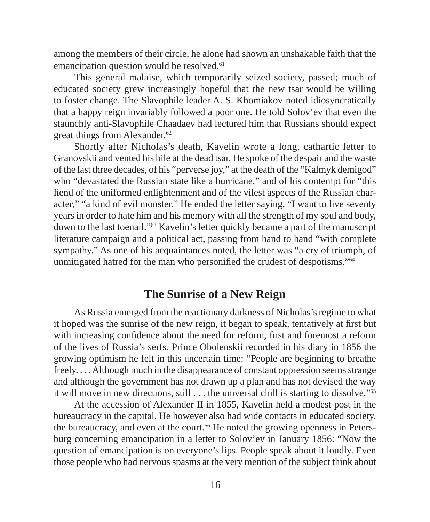among the members of their circle, he alone had shown an unshakable faith that the emancipation question would be resolved.<sup>61</sup>

This general malaise, which temporarily seized society, passed; much of educated society grew increasingly hopeful that the new tsar would be willing to foster change. The Slavophile leader A. S. Khomiakov noted idiosyncratically that a happy reign invariably followed a poor one. He told Solov'ev that even the staunchly anti-Slavophile Chaadaev had lectured him that Russians should expect great things from Alexander.<sup>62</sup>

Shortly after Nicholas's death, Kavelin wrote a long, cathartic letter to Granovskii and vented his bile at the dead tsar. He spoke of the despair and the waste of the last three decades, of his "perverse joy," at the death of the "Kalmyk demigod" who "devastated the Russian state like a hurricane," and of his contempt for "this fiend of the uniformed enlightenment and of the vilest aspects of the Russian character," "a kind of evil monster." He ended the letter saying, "I want to live seventy years in order to hate him and his memory with all the strength of my soul and body, down to the last toenail."63 Kavelin's letter quickly became a part of the manuscript literature campaign and a political act, passing from hand to hand "with complete sympathy." As one of his acquaintances noted, the letter was "a cry of triumph, of unmitigated hatred for the man who personified the crudest of despotisms."<sup>64</sup>

#### **The Sunrise of a New Reign**

As Russia emerged from the reactionary darkness of Nicholas's regime to what it hoped was the sunrise of the new reign, it began to speak, tentatively at first but with increasing confidence about the need for reform, first and foremost a reform of the lives of Russia's serfs. Prince Obolenskii recorded in his diary in 1856 the growing optimism he felt in this uncertain time: "People are beginning to breathe freely. . . . Although much in the disappearance of constant oppression seems strange and although the government has not drawn up a plan and has not devised the way it will move in new directions, still . . . the universal chill is starting to dissolve."65

At the accession of Alexander II in 1855, Kavelin held a modest post in the bureaucracy in the capital. He however also had wide contacts in educated society, the bureaucracy, and even at the court.<sup>66</sup> He noted the growing openness in Petersburg concerning emancipation in a letter to Solov'ev in January 1856: "Now the question of emancipation is on everyone's lips. People speak about it loudly. Even those people who had nervous spasms at the very mention of the subject think about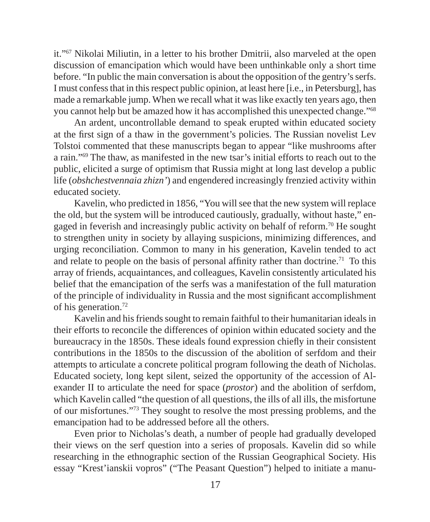it."67 Nikolai Miliutin, in a letter to his brother Dmitrii, also marveled at the open discussion of emancipation which would have been unthinkable only a short time before. "In public the main conversation is about the opposition of the gentry's serfs. I must confess that in this respect public opinion, at least here [i.e., in Petersburg], has made a remarkable jump. When we recall what it was like exactly ten years ago, then you cannot help but be amazed how it has accomplished this unexpected change."68

An ardent, uncontrollable demand to speak erupted within educated society at the first sign of a thaw in the government's policies. The Russian novelist Lev Tolstoi commented that these manuscripts began to appear "like mushrooms after a rain."69 The thaw, as manifested in the new tsar's initial efforts to reach out to the public, elicited a surge of optimism that Russia might at long last develop a public life (*obshchestvennaia zhizn'*) and engendered increasingly frenzied activity within educated society.

Kavelin, who predicted in 1856, "You will see that the new system will replace the old, but the system will be introduced cautiously, gradually, without haste," engaged in feverish and increasingly public activity on behalf of reform.70 He sought to strengthen unity in society by allaying suspicions, minimizing differences, and urging reconciliation. Common to many in his generation, Kavelin tended to act and relate to people on the basis of personal affinity rather than doctrine.<sup>71</sup> To this array of friends, acquaintances, and colleagues, Kavelin consistently articulated his belief that the emancipation of the serfs was a manifestation of the full maturation of the principle of individuality in Russia and the most significant accomplishment of his generation.72

Kavelin and his friends sought to remain faithful to their humanitarian ideals in their efforts to reconcile the differences of opinion within educated society and the bureaucracy in the 1850s. These ideals found expression chiefly in their consistent contributions in the 1850s to the discussion of the abolition of serfdom and their attempts to articulate a concrete political program following the death of Nicholas. Educated society, long kept silent, seized the opportunity of the accession of Alexander II to articulate the need for space (*prostor*) and the abolition of serfdom, which Kavelin called "the question of all questions, the ills of all ills, the misfortune of our misfortunes."73 They sought to resolve the most pressing problems, and the emancipation had to be addressed before all the others.

Even prior to Nicholas's death, a number of people had gradually developed their views on the serf question into a series of proposals. Kavelin did so while researching in the ethnographic section of the Russian Geographical Society. His essay "Krest'ianskii vopros" ("The Peasant Question") helped to initiate a manu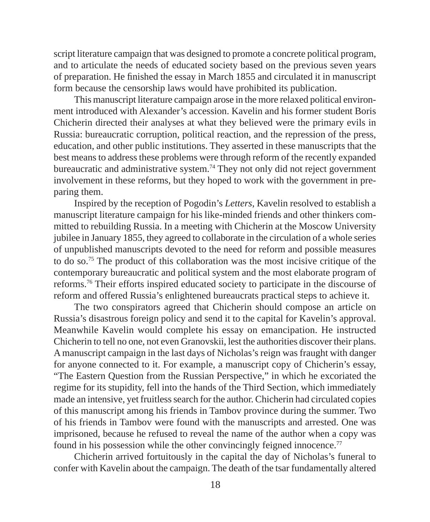script literature campaign that was designed to promote a concrete political program, and to articulate the needs of educated society based on the previous seven years of preparation. He finished the essay in March 1855 and circulated it in manuscript form because the censorship laws would have prohibited its publication.

This manuscript literature campaign arose in the more relaxed political environment introduced with Alexander's accession. Kavelin and his former student Boris Chicherin directed their analyses at what they believed were the primary evils in Russia: bureaucratic corruption, political reaction, and the repression of the press, education, and other public institutions. They asserted in these manuscripts that the best means to address these problems were through reform of the recently expanded bureaucratic and administrative system.74 They not only did not reject government involvement in these reforms, but they hoped to work with the government in preparing them.

Inspired by the reception of Pogodin's *Letters*, Kavelin resolved to establish a manuscript literature campaign for his like-minded friends and other thinkers committed to rebuilding Russia. In a meeting with Chicherin at the Moscow University jubilee in January 1855, they agreed to collaborate in the circulation of a whole series of unpublished manuscripts devoted to the need for reform and possible measures to do so.75 The product of this collaboration was the most incisive critique of the contemporary bureaucratic and political system and the most elaborate program of reforms.76 Their efforts inspired educated society to participate in the discourse of reform and offered Russia's enlightened bureaucrats practical steps to achieve it.

The two conspirators agreed that Chicherin should compose an article on Russia's disastrous foreign policy and send it to the capital for Kavelin's approval. Meanwhile Kavelin would complete his essay on emancipation. He instructed Chicherin to tell no one, not even Granovskii, lest the authorities discover their plans. A manuscript campaign in the last days of Nicholas's reign was fraught with danger for anyone connected to it. For example, a manuscript copy of Chicherin's essay, "The Eastern Question from the Russian Perspective," in which he excoriated the regime for its stupidity, fell into the hands of the Third Section, which immediately made an intensive, yet fruitless search for the author. Chicherin had circulated copies of this manuscript among his friends in Tambov province during the summer. Two of his friends in Tambov were found with the manuscripts and arrested. One was imprisoned, because he refused to reveal the name of the author when a copy was found in his possession while the other convincingly feigned innocence.<sup>77</sup>

Chicherin arrived fortuitously in the capital the day of Nicholas's funeral to confer with Kavelin about the campaign. The death of the tsar fundamentally altered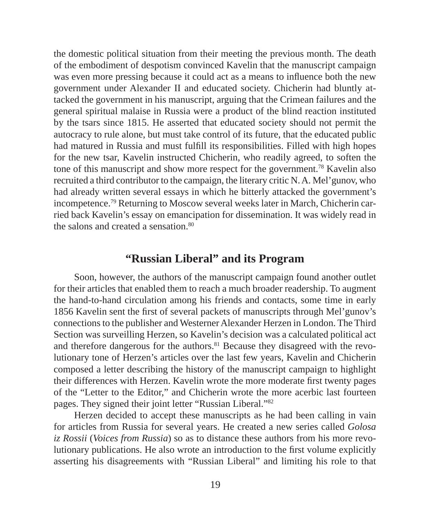the domestic political situation from their meeting the previous month. The death of the embodiment of despotism convinced Kavelin that the manuscript campaign was even more pressing because it could act as a means to influence both the new government under Alexander II and educated society. Chicherin had bluntly attacked the government in his manuscript, arguing that the Crimean failures and the general spiritual malaise in Russia were a product of the blind reaction instituted by the tsars since 1815. He asserted that educated society should not permit the autocracy to rule alone, but must take control of its future, that the educated public had matured in Russia and must fulfill its responsibilities. Filled with high hopes for the new tsar, Kavelin instructed Chicherin, who readily agreed, to soften the tone of this manuscript and show more respect for the government.78 Kavelin also recruited a third contributor to the campaign, the literary critic N. A. Mel'gunov, who had already written several essays in which he bitterly attacked the government's incompetence.79 Returning to Moscow several weeks later in March, Chicherin carried back Kavelin's essay on emancipation for dissemination. It was widely read in the salons and created a sensation.<sup>80</sup>

#### **"Russian Liberal" and its Program**

Soon, however, the authors of the manuscript campaign found another outlet for their articles that enabled them to reach a much broader readership. To augment the hand-to-hand circulation among his friends and contacts, some time in early 1856 Kavelin sent the first of several packets of manuscripts through Mel'gunov's connections to the publisher and Westerner Alexander Herzen in London. The Third Section was surveilling Herzen, so Kavelin's decision was a calculated political act and therefore dangerous for the authors.<sup>81</sup> Because they disagreed with the revolutionary tone of Herzen's articles over the last few years, Kavelin and Chicherin composed a letter describing the history of the manuscript campaign to highlight their differences with Herzen. Kavelin wrote the more moderate first twenty pages of the "Letter to the Editor," and Chicherin wrote the more acerbic last fourteen pages. They signed their joint letter "Russian Liberal."82

Herzen decided to accept these manuscripts as he had been calling in vain for articles from Russia for several years. He created a new series called *Golosa iz Rossii* (*Voices from Russia*) so as to distance these authors from his more revolutionary publications. He also wrote an introduction to the first volume explicitly asserting his disagreements with "Russian Liberal" and limiting his role to that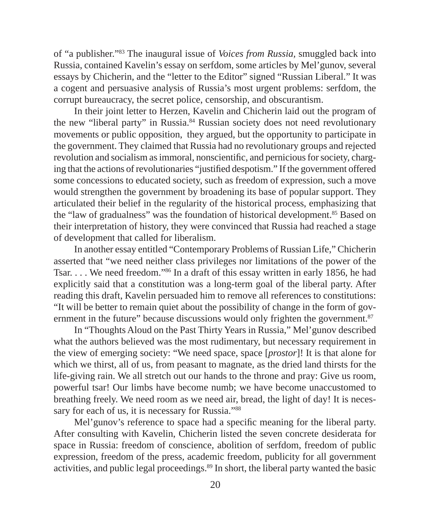of "a publisher."83 The inaugural issue of *Voices from Russia,* smuggled back into Russia, contained Kavelin's essay on serfdom, some articles by Mel'gunov, several essays by Chicherin, and the "letter to the Editor" signed "Russian Liberal." It was a cogent and persuasive analysis of Russia's most urgent problems: serfdom, the corrupt bureaucracy, the secret police, censorship, and obscurantism.

In their joint letter to Herzen, Kavelin and Chicherin laid out the program of the new "liberal party" in Russia.84 Russian society does not need revolutionary movements or public opposition, they argued, but the opportunity to participate in the government. They claimed that Russia had no revolutionary groups and rejected revolution and socialism as immoral, nonscientific, and pernicious for society, charging that the actions of revolutionaries "justified despotism." If the government offered some concessions to educated society, such as freedom of expression, such a move would strengthen the government by broadening its base of popular support. They articulated their belief in the regularity of the historical process, emphasizing that the "law of gradualness" was the foundation of historical development.85 Based on their interpretation of history, they were convinced that Russia had reached a stage of development that called for liberalism.

In another essay entitled "Contemporary Problems of Russian Life," Chicherin asserted that "we need neither class privileges nor limitations of the power of the Tsar. . . . We need freedom."86 In a draft of this essay written in early 1856, he had explicitly said that a constitution was a long-term goal of the liberal party. After reading this draft, Kavelin persuaded him to remove all references to constitutions: "It will be better to remain quiet about the possibility of change in the form of government in the future" because discussions would only frighten the government.<sup>87</sup>

In "Thoughts Aloud on the Past Thirty Years in Russia," Mel'gunov described what the authors believed was the most rudimentary, but necessary requirement in the view of emerging society: "We need space, space [*prostor*]! It is that alone for which we thirst, all of us, from peasant to magnate, as the dried land thirsts for the life-giving rain. We all stretch out our hands to the throne and pray: Give us room, powerful tsar! Our limbs have become numb; we have become unaccustomed to breathing freely. We need room as we need air, bread, the light of day! It is necessary for each of us, it is necessary for Russia."<sup>88</sup>

Mel'gunov's reference to space had a specific meaning for the liberal party. After consulting with Kavelin, Chicherin listed the seven concrete desiderata for space in Russia: freedom of conscience, abolition of serfdom, freedom of public expression, freedom of the press, academic freedom, publicity for all government activities, and public legal proceedings.89 In short, the liberal party wanted the basic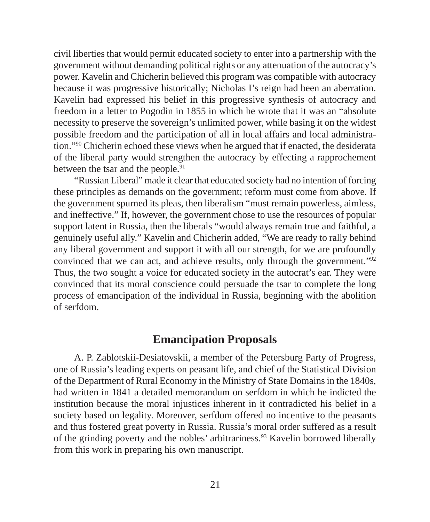civil liberties that would permit educated society to enter into a partnership with the government without demanding political rights or any attenuation of the autocracy's power. Kavelin and Chicherin believed this program was compatible with autocracy because it was progressive historically; Nicholas I's reign had been an aberration. Kavelin had expressed his belief in this progressive synthesis of autocracy and freedom in a letter to Pogodin in 1855 in which he wrote that it was an "absolute necessity to preserve the sovereign's unlimited power, while basing it on the widest possible freedom and the participation of all in local affairs and local administration."90 Chicherin echoed these views when he argued that if enacted, the desiderata of the liberal party would strengthen the autocracy by effecting a rapprochement between the tsar and the people.<sup>91</sup>

"Russian Liberal" made it clear that educated society had no intention of forcing these principles as demands on the government; reform must come from above. If the government spurned its pleas, then liberalism "must remain powerless, aimless, and ineffective." If, however, the government chose to use the resources of popular support latent in Russia, then the liberals "would always remain true and faithful, a genuinely useful ally." Kavelin and Chicherin added, "We are ready to rally behind any liberal government and support it with all our strength, for we are profoundly convinced that we can act, and achieve results, only through the government."92 Thus, the two sought a voice for educated society in the autocrat's ear. They were convinced that its moral conscience could persuade the tsar to complete the long process of emancipation of the individual in Russia, beginning with the abolition of serfdom.

#### **Emancipation Proposals**

A. P. Zablotskii-Desiatovskii, a member of the Petersburg Party of Progress, one of Russia's leading experts on peasant life, and chief of the Statistical Division of the Department of Rural Economy in the Ministry of State Domains in the 1840s, had written in 1841 a detailed memorandum on serfdom in which he indicted the institution because the moral injustices inherent in it contradicted his belief in a society based on legality. Moreover, serfdom offered no incentive to the peasants and thus fostered great poverty in Russia. Russia's moral order suffered as a result of the grinding poverty and the nobles' arbitrariness.93 Kavelin borrowed liberally from this work in preparing his own manuscript.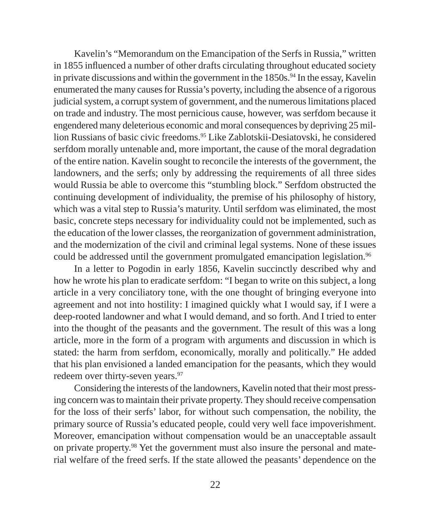Kavelin's "Memorandum on the Emancipation of the Serfs in Russia," written in 1855 influenced a number of other drafts circulating throughout educated society in private discussions and within the government in the  $1850s$ .<sup>94</sup> In the essay, Kavelin enumerated the many causes for Russia's poverty, including the absence of a rigorous judicial system, a corrupt system of government, and the numerous limitations placed on trade and industry. The most pernicious cause, however, was serfdom because it engendered many deleterious economic and moral consequences by depriving 25 million Russians of basic civic freedoms.95 Like Zablotskii-Desiatovski, he considered serfdom morally untenable and, more important, the cause of the moral degradation of the entire nation. Kavelin sought to reconcile the interests of the government, the landowners, and the serfs; only by addressing the requirements of all three sides would Russia be able to overcome this "stumbling block." Serfdom obstructed the continuing development of individuality, the premise of his philosophy of history, which was a vital step to Russia's maturity. Until serfdom was eliminated, the most basic, concrete steps necessary for individuality could not be implemented, such as the education of the lower classes, the reorganization of government administration, and the modernization of the civil and criminal legal systems. None of these issues could be addressed until the government promulgated emancipation legislation.<sup>96</sup>

In a letter to Pogodin in early 1856, Kavelin succinctly described why and how he wrote his plan to eradicate serfdom: "I began to write on this subject, a long article in a very conciliatory tone, with the one thought of bringing everyone into agreement and not into hostility: I imagined quickly what I would say, if I were a deep-rooted landowner and what I would demand, and so forth. And I tried to enter into the thought of the peasants and the government. The result of this was a long article, more in the form of a program with arguments and discussion in which is stated: the harm from serfdom, economically, morally and politically." He added that his plan envisioned a landed emancipation for the peasants, which they would redeem over thirty-seven years.<sup>97</sup>

Considering the interests of the landowners, Kavelin noted that their most pressing concern was to maintain their private property. They should receive compensation for the loss of their serfs' labor, for without such compensation, the nobility, the primary source of Russia's educated people, could very well face impoverishment. Moreover, emancipation without compensation would be an unacceptable assault on private property.98 Yet the government must also insure the personal and material welfare of the freed serfs. If the state allowed the peasants' dependence on the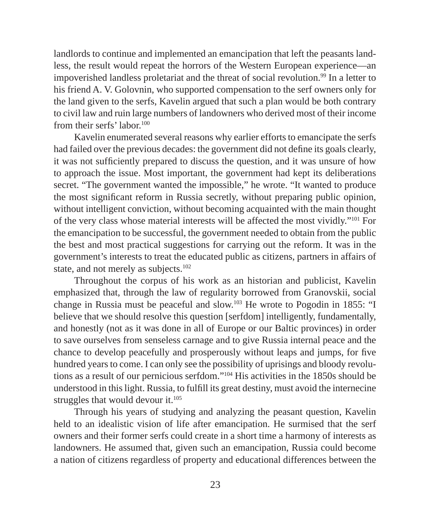landlords to continue and implemented an emancipation that left the peasants landless, the result would repeat the horrors of the Western European experience—an impoverished landless proletariat and the threat of social revolution.<sup>99</sup> In a letter to his friend A. V. Golovnin, who supported compensation to the serf owners only for the land given to the serfs, Kavelin argued that such a plan would be both contrary to civil law and ruin large numbers of landowners who derived most of their income from their serfs' labor.<sup>100</sup>

Kavelin enumerated several reasons why earlier efforts to emancipate the serfs had failed over the previous decades: the government did not define its goals clearly, it was not sufficiently prepared to discuss the question, and it was unsure of how to approach the issue. Most important, the government had kept its deliberations secret. "The government wanted the impossible," he wrote. "It wanted to produce the most significant reform in Russia secretly, without preparing public opinion, without intelligent conviction, without becoming acquainted with the main thought of the very class whose material interests will be affected the most vividly."101 For the emancipation to be successful, the government needed to obtain from the public the best and most practical suggestions for carrying out the reform. It was in the government's interests to treat the educated public as citizens, partners in affairs of state, and not merely as subjects.<sup>102</sup>

Throughout the corpus of his work as an historian and publicist, Kavelin emphasized that, through the law of regularity borrowed from Granovskii, social change in Russia must be peaceful and slow.103 He wrote to Pogodin in 1855: "I believe that we should resolve this question [serfdom] intelligently, fundamentally, and honestly (not as it was done in all of Europe or our Baltic provinces) in order to save ourselves from senseless carnage and to give Russia internal peace and the chance to develop peacefully and prosperously without leaps and jumps, for five hundred years to come. I can only see the possibility of uprisings and bloody revolutions as a result of our pernicious serfdom."104 His activities in the 1850s should be understood in this light. Russia, to fulfill its great destiny, must avoid the internecine struggles that would devour it.<sup>105</sup>

Through his years of studying and analyzing the peasant question, Kavelin held to an idealistic vision of life after emancipation. He surmised that the serf owners and their former serfs could create in a short time a harmony of interests as landowners. He assumed that, given such an emancipation, Russia could become a nation of citizens regardless of property and educational differences between the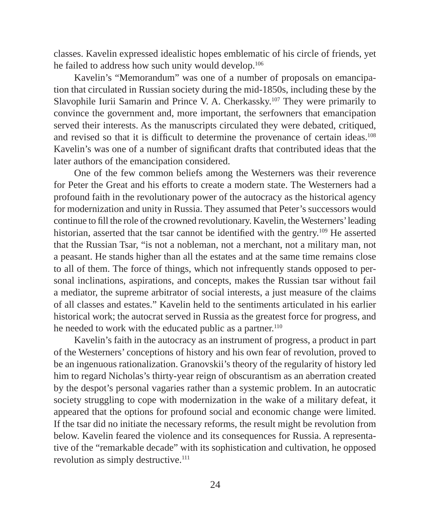classes. Kavelin expressed idealistic hopes emblematic of his circle of friends, yet he failed to address how such unity would develop.<sup>106</sup>

Kavelin's "Memorandum" was one of a number of proposals on emancipation that circulated in Russian society during the mid-1850s, including these by the Slavophile Iurii Samarin and Prince V. A. Cherkassky.<sup>107</sup> They were primarily to convince the government and, more important, the serfowners that emancipation served their interests. As the manuscripts circulated they were debated, critiqued, and revised so that it is difficult to determine the provenance of certain ideas.<sup>108</sup> Kavelin's was one of a number of significant drafts that contributed ideas that the later authors of the emancipation considered.

One of the few common beliefs among the Westerners was their reverence for Peter the Great and his efforts to create a modern state. The Westerners had a profound faith in the revolutionary power of the autocracy as the historical agency for modernization and unity in Russia. They assumed that Peter's successors would continue to fill the role of the crowned revolutionary. Kavelin, the Westerners' leading historian, asserted that the tsar cannot be identified with the gentry.<sup>109</sup> He asserted that the Russian Tsar, "is not a nobleman, not a merchant, not a military man, not a peasant. He stands higher than all the estates and at the same time remains close to all of them. The force of things, which not infrequently stands opposed to personal inclinations, aspirations, and concepts, makes the Russian tsar without fail a mediator, the supreme arbitrator of social interests, a just measure of the claims of all classes and estates." Kavelin held to the sentiments articulated in his earlier historical work; the autocrat served in Russia as the greatest force for progress, and he needed to work with the educated public as a partner.<sup>110</sup>

Kavelin's faith in the autocracy as an instrument of progress, a product in part of the Westerners' conceptions of history and his own fear of revolution, proved to be an ingenuous rationalization. Granovskii's theory of the regularity of history led him to regard Nicholas's thirty-year reign of obscurantism as an aberration created by the despot's personal vagaries rather than a systemic problem. In an autocratic society struggling to cope with modernization in the wake of a military defeat, it appeared that the options for profound social and economic change were limited. If the tsar did no initiate the necessary reforms, the result might be revolution from below. Kavelin feared the violence and its consequences for Russia. A representative of the "remarkable decade" with its sophistication and cultivation, he opposed revolution as simply destructive.<sup>111</sup>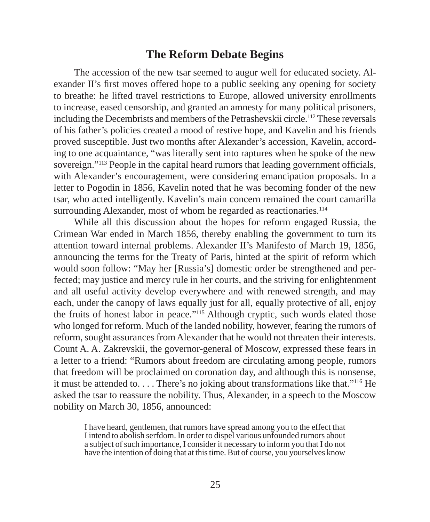#### **The Reform Debate Begins**

The accession of the new tsar seemed to augur well for educated society. Alexander II's first moves offered hope to a public seeking any opening for society to breathe: he lifted travel restrictions to Europe, allowed university enrollments to increase, eased censorship, and granted an amnesty for many political prisoners, including the Decembrists and members of the Petrashevskii circle.112 These reversals of his father's policies created a mood of restive hope, and Kavelin and his friends proved susceptible. Just two months after Alexander's accession, Kavelin, according to one acquaintance, "was literally sent into raptures when he spoke of the new sovereign."<sup>113</sup> People in the capital heard rumors that leading government officials, with Alexander's encouragement, were considering emancipation proposals. In a letter to Pogodin in 1856, Kavelin noted that he was becoming fonder of the new tsar, who acted intelligently. Kavelin's main concern remained the court camarilla surrounding Alexander, most of whom he regarded as reactionaries.<sup>114</sup>

While all this discussion about the hopes for reform engaged Russia, the Crimean War ended in March 1856, thereby enabling the government to turn its attention toward internal problems. Alexander II's Manifesto of March 19, 1856, announcing the terms for the Treaty of Paris, hinted at the spirit of reform which would soon follow: "May her [Russia's] domestic order be strengthened and perfected; may justice and mercy rule in her courts, and the striving for enlightenment and all useful activity develop everywhere and with renewed strength, and may each, under the canopy of laws equally just for all, equally protective of all, enjoy the fruits of honest labor in peace."115 Although cryptic, such words elated those who longed for reform. Much of the landed nobility, however, fearing the rumors of reform, sought assurances from Alexander that he would not threaten their interests. Count A. A. Zakrevskii, the governor-general of Moscow, expressed these fears in a letter to a friend: "Rumors about freedom are circulating among people, rumors that freedom will be proclaimed on coronation day, and although this is nonsense, it must be attended to. . . . There's no joking about transformations like that."116 He asked the tsar to reassure the nobility. Thus, Alexander, in a speech to the Moscow nobility on March 30, 1856, announced:

I have heard, gentlemen, that rumors have spread among you to the effect that I intend to abolish serfdom. In order to dispel various unfounded rumors about a subject of such importance, I consider it necessary to inform you that I do not have the intention of doing that at this time. But of course, you yourselves know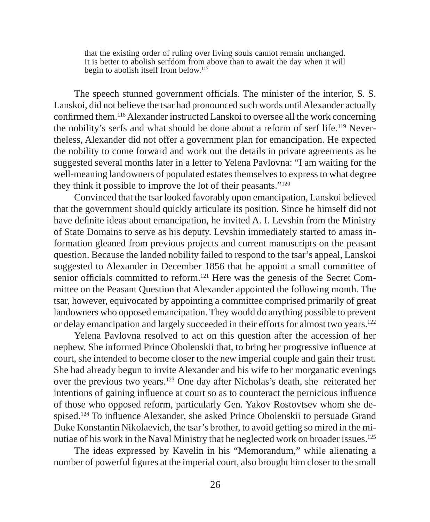that the existing order of ruling over living souls cannot remain unchanged. It is better to abolish serfdom from above than to await the day when it will begin to abolish itself from below.<sup>117</sup>

The speech stunned government officials. The minister of the interior, S. S. Lanskoi, did not believe the tsar had pronounced such words until Alexander actually confirmed them.<sup>118</sup> Alexander instructed Lanskoi to oversee all the work concerning the nobility's serfs and what should be done about a reform of serf life.<sup>119</sup> Nevertheless, Alexander did not offer a government plan for emancipation. He expected the nobility to come forward and work out the details in private agreements as he suggested several months later in a letter to Yelena Pavlovna: "I am waiting for the well-meaning landowners of populated estates themselves to express to what degree they think it possible to improve the lot of their peasants."120

Convinced that the tsar looked favorably upon emancipation, Lanskoi believed that the government should quickly articulate its position. Since he himself did not have definite ideas about emancipation, he invited A. I. Levshin from the Ministry of State Domains to serve as his deputy. Levshin immediately started to amass information gleaned from previous projects and current manuscripts on the peasant question. Because the landed nobility failed to respond to the tsar's appeal, Lanskoi suggested to Alexander in December 1856 that he appoint a small committee of senior officials committed to reform.<sup>121</sup> Here was the genesis of the Secret Committee on the Peasant Question that Alexander appointed the following month. The tsar, however, equivocated by appointing a committee comprised primarily of great landowners who opposed emancipation. They would do anything possible to prevent or delay emancipation and largely succeeded in their efforts for almost two years.122

Yelena Pavlovna resolved to act on this question after the accession of her nephew. She informed Prince Obolenskii that, to bring her progressive influence at court, she intended to become closer to the new imperial couple and gain their trust. She had already begun to invite Alexander and his wife to her morganatic evenings over the previous two years.123 One day after Nicholas's death, she reiterated her intentions of gaining influence at court so as to counteract the pernicious influence of those who opposed reform, particularly Gen. Yakov Rostovtsev whom she despised.<sup>124</sup> To influence Alexander, she asked Prince Obolenskii to persuade Grand Duke Konstantin Nikolaevich, the tsar's brother, to avoid getting so mired in the minutiae of his work in the Naval Ministry that he neglected work on broader issues.125

The ideas expressed by Kavelin in his "Memorandum," while alienating a number of powerful figures at the imperial court, also brought him closer to the small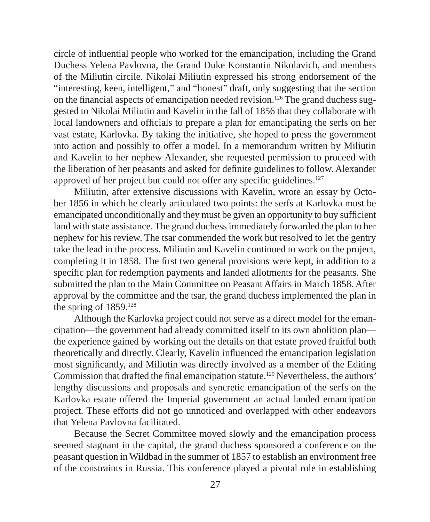circle of influential people who worked for the emancipation, including the Grand Duchess Yelena Pavlovna, the Grand Duke Konstantin Nikolavich, and members of the Miliutin circile. Nikolai Miliutin expressed his strong endorsement of the "interesting, keen, intelligent," and "honest" draft, only suggesting that the section on the financial aspects of emancipation needed revision.<sup>126</sup> The grand duchess suggested to Nikolai Miliutin and Kavelin in the fall of 1856 that they collaborate with local landowners and officials to prepare a plan for emancipating the serfs on her vast estate, Karlovka. By taking the initiative, she hoped to press the government into action and possibly to offer a model. In a memorandum written by Miliutin and Kavelin to her nephew Alexander, she requested permission to proceed with the liberation of her peasants and asked for definite guidelines to follow. Alexander approved of her project but could not offer any specific guidelines.<sup>127</sup>

Miliutin, after extensive discussions with Kavelin, wrote an essay by October 1856 in which he clearly articulated two points: the serfs at Karlovka must be emancipated unconditionally and they must be given an opportunity to buy sufficient land with state assistance. The grand duchess immediately forwarded the plan to her nephew for his review. The tsar commended the work but resolved to let the gentry take the lead in the process. Miliutin and Kavelin continued to work on the project, completing it in 1858. The first two general provisions were kept, in addition to a specific plan for redemption payments and landed allotments for the peasants. She submitted the plan to the Main Committee on Peasant Affairs in March 1858. After approval by the committee and the tsar, the grand duchess implemented the plan in the spring of  $1859$ <sup>128</sup>

Although the Karlovka project could not serve as a direct model for the emancipation—the government had already committed itself to its own abolition plan the experience gained by working out the details on that estate proved fruitful both theoretically and directly. Clearly, Kavelin influenced the emancipation legislation most significantly, and Miliutin was directly involved as a member of the Editing Commission that drafted the final emancipation statute.<sup>129</sup> Nevertheless, the authors' lengthy discussions and proposals and syncretic emancipation of the serfs on the Karlovka estate offered the Imperial government an actual landed emancipation project. These efforts did not go unnoticed and overlapped with other endeavors that Yelena Pavlovna facilitated.

Because the Secret Committee moved slowly and the emancipation process seemed stagnant in the capital, the grand duchess sponsored a conference on the peasant question in Wildbad in the summer of 1857 to establish an environment free of the constraints in Russia. This conference played a pivotal role in establishing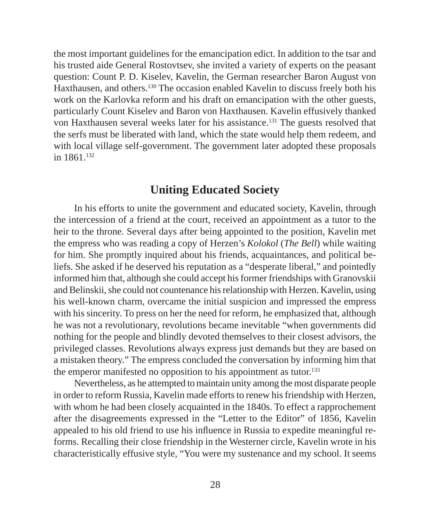the most important guidelines for the emancipation edict. In addition to the tsar and his trusted aide General Rostovtsev, she invited a variety of experts on the peasant question: Count P. D. Kiselev, Kavelin, the German researcher Baron August von Haxthausen, and others.130 The occasion enabled Kavelin to discuss freely both his work on the Karlovka reform and his draft on emancipation with the other guests, particularly Count Kiselev and Baron von Haxthausen. Kavelin effusively thanked von Haxthausen several weeks later for his assistance.131 The guests resolved that the serfs must be liberated with land, which the state would help them redeem, and with local village self-government. The government later adopted these proposals in 1861.132

#### **Uniting Educated Society**

In his efforts to unite the government and educated society, Kavelin, through the intercession of a friend at the court, received an appointment as a tutor to the heir to the throne. Several days after being appointed to the position, Kavelin met the empress who was reading a copy of Herzen's *Kolokol* (*The Bell*) while waiting for him. She promptly inquired about his friends, acquaintances, and political beliefs. She asked if he deserved his reputation as a "desperate liberal," and pointedly informed him that, although she could accept his former friendships with Granovskii and Belinskii, she could not countenance his relationship with Herzen. Kavelin, using his well-known charm, overcame the initial suspicion and impressed the empress with his sincerity. To press on her the need for reform, he emphasized that, although he was not a revolutionary, revolutions became inevitable "when governments did nothing for the people and blindly devoted themselves to their closest advisors, the privileged classes. Revolutions always express just demands but they are based on a mistaken theory." The empress concluded the conversation by informing him that the emperor manifested no opposition to his appointment as tutor.<sup>133</sup>

Nevertheless, as he attempted to maintain unity among the most disparate people in order to reform Russia, Kavelin made efforts to renew his friendship with Herzen, with whom he had been closely acquainted in the 1840s. To effect a rapprochement after the disagreements expressed in the "Letter to the Editor" of 1856, Kavelin appealed to his old friend to use his influence in Russia to expedite meaningful reforms. Recalling their close friendship in the Westerner circle, Kavelin wrote in his characteristically effusive style, "You were my sustenance and my school. It seems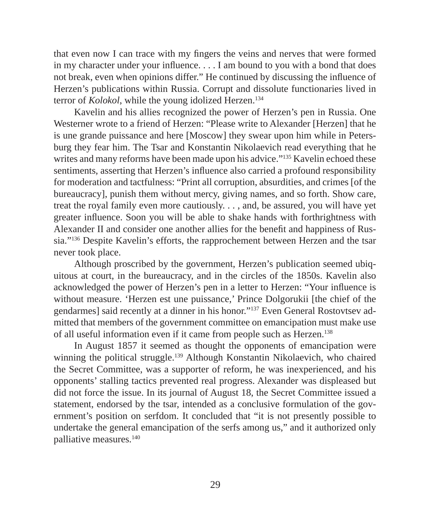that even now I can trace with my fingers the veins and nerves that were formed in my character under your influence.  $\dots$  I am bound to you with a bond that does not break, even when opinions differ." He continued by discussing the influence of Herzen's publications within Russia. Corrupt and dissolute functionaries lived in terror of *Kolokol*, while the young idolized Herzen.134

Kavelin and his allies recognized the power of Herzen's pen in Russia. One Westerner wrote to a friend of Herzen: "Please write to Alexander [Herzen] that he is une grande puissance and here [Moscow] they swear upon him while in Petersburg they fear him. The Tsar and Konstantin Nikolaevich read everything that he writes and many reforms have been made upon his advice."<sup>135</sup> Kavelin echoed these sentiments, asserting that Herzen's influence also carried a profound responsibility for moderation and tactfulness: "Print all corruption, absurdities, and crimes [of the bureaucracy], punish them without mercy, giving names, and so forth. Show care, treat the royal family even more cautiously. . . , and, be assured, you will have yet greater influence. Soon you will be able to shake hands with forthrightness with Alexander II and consider one another allies for the benefit and happiness of Russia."136 Despite Kavelin's efforts, the rapprochement between Herzen and the tsar never took place.

Although proscribed by the government, Herzen's publication seemed ubiquitous at court, in the bureaucracy, and in the circles of the 1850s. Kavelin also acknowledged the power of Herzen's pen in a letter to Herzen: "Your influence is without measure. 'Herzen est une puissance,' Prince Dolgorukii [the chief of the gendarmes] said recently at a dinner in his honor."137 Even General Rostovtsev admitted that members of the government committee on emancipation must make use of all useful information even if it came from people such as Herzen.138

In August 1857 it seemed as thought the opponents of emancipation were winning the political struggle.<sup>139</sup> Although Konstantin Nikolaevich, who chaired the Secret Committee, was a supporter of reform, he was inexperienced, and his opponents' stalling tactics prevented real progress. Alexander was displeased but did not force the issue. In its journal of August 18, the Secret Committee issued a statement, endorsed by the tsar, intended as a conclusive formulation of the government's position on serfdom. It concluded that "it is not presently possible to undertake the general emancipation of the serfs among us," and it authorized only palliative measures.140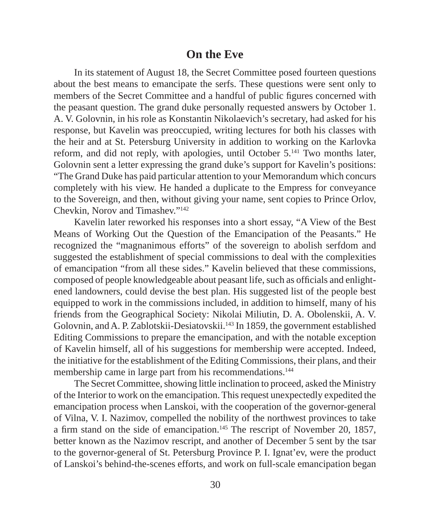#### **On the Eve**

In its statement of August 18, the Secret Committee posed fourteen questions about the best means to emancipate the serfs. These questions were sent only to members of the Secret Committee and a handful of public figures concerned with the peasant question. The grand duke personally requested answers by October 1. A. V. Golovnin, in his role as Konstantin Nikolaevich's secretary, had asked for his response, but Kavelin was preoccupied, writing lectures for both his classes with the heir and at St. Petersburg University in addition to working on the Karlovka reform, and did not reply, with apologies, until October 5.141 Two months later, Golovnin sent a letter expressing the grand duke's support for Kavelin's positions: "The Grand Duke has paid particular attention to your Memorandum which concurs completely with his view. He handed a duplicate to the Empress for conveyance to the Sovereign, and then, without giving your name, sent copies to Prince Orlov, Chevkin, Norov and Timashev."142

Kavelin later reworked his responses into a short essay, "A View of the Best Means of Working Out the Question of the Emancipation of the Peasants." He recognized the "magnanimous efforts" of the sovereign to abolish serfdom and suggested the establishment of special commissions to deal with the complexities of emancipation "from all these sides." Kavelin believed that these commissions, composed of people knowledgeable about peasant life, such as officials and enlightened landowners, could devise the best plan. His suggested list of the people best equipped to work in the commissions included, in addition to himself, many of his friends from the Geographical Society: Nikolai Miliutin, D. A. Obolenskii, A. V. Golovnin, and A. P. Zablotskii-Desiatovskii.143 In 1859, the government established Editing Commissions to prepare the emancipation, and with the notable exception of Kavelin himself, all of his suggestions for membership were accepted. Indeed, the initiative for the establishment of the Editing Commissions, their plans, and their membership came in large part from his recommendations.<sup>144</sup>

The Secret Committee, showing little inclination to proceed, asked the Ministry of the Interior to work on the emancipation. This request unexpectedly expedited the emancipation process when Lanskoi, with the cooperation of the governor-general of Vilna, V. I. Nazimov, compelled the nobility of the northwest provinces to take a firm stand on the side of emancipation.<sup>145</sup> The rescript of November 20, 1857, better known as the Nazimov rescript, and another of December 5 sent by the tsar to the governor-general of St. Petersburg Province P. I. Ignat'ev, were the product of Lanskoi's behind-the-scenes efforts, and work on full-scale emancipation began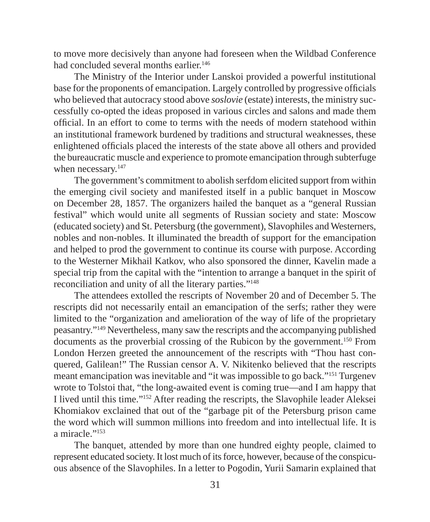to move more decisively than anyone had foreseen when the Wildbad Conference had concluded several months earlier.<sup>146</sup>

The Ministry of the Interior under Lanskoi provided a powerful institutional base for the proponents of emancipation. Largely controlled by progressive officials who believed that autocracy stood above *soslovie* (estate) interests, the ministry successfully co-opted the ideas proposed in various circles and salons and made them official. In an effort to come to terms with the needs of modern statehood within an institutional framework burdened by traditions and structural weaknesses, these enlightened officials placed the interests of the state above all others and provided the bureaucratic muscle and experience to promote emancipation through subterfuge when necessary.<sup>147</sup>

The government's commitment to abolish serfdom elicited support from within the emerging civil society and manifested itself in a public banquet in Moscow on December 28, 1857. The organizers hailed the banquet as a "general Russian festival" which would unite all segments of Russian society and state: Moscow (educated society) and St. Petersburg (the government), Slavophiles and Westerners, nobles and non-nobles. It illuminated the breadth of support for the emancipation and helped to prod the government to continue its course with purpose. According to the Westerner Mikhail Katkov, who also sponsored the dinner, Kavelin made a special trip from the capital with the "intention to arrange a banquet in the spirit of reconciliation and unity of all the literary parties."148

The attendees extolled the rescripts of November 20 and of December 5. The rescripts did not necessarily entail an emancipation of the serfs; rather they were limited to the "organization and amelioration of the way of life of the proprietary peasantry."149 Nevertheless, many saw the rescripts and the accompanying published documents as the proverbial crossing of the Rubicon by the government.<sup>150</sup> From London Herzen greeted the announcement of the rescripts with "Thou hast conquered, Galilean!" The Russian censor A. V. Nikitenko believed that the rescripts meant emancipation was inevitable and "it was impossible to go back."151 Turgenev wrote to Tolstoi that, "the long-awaited event is coming true—and I am happy that I lived until this time."152 After reading the rescripts, the Slavophile leader Aleksei Khomiakov exclained that out of the "garbage pit of the Petersburg prison came the word which will summon millions into freedom and into intellectual life. It is a miracle."153

The banquet, attended by more than one hundred eighty people, claimed to represent educated society. It lost much of its force, however, because of the conspicuous absence of the Slavophiles. In a letter to Pogodin, Yurii Samarin explained that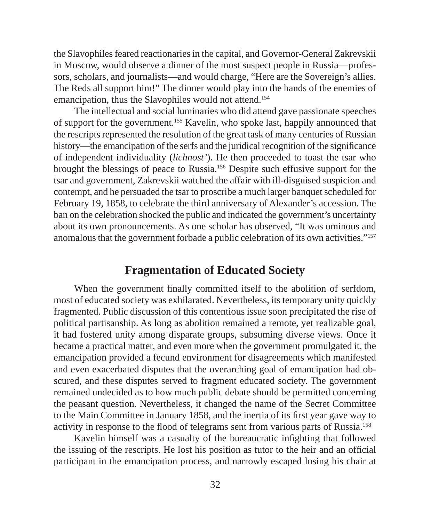the Slavophiles feared reactionaries in the capital, and Governor-General Zakrevskii in Moscow, would observe a dinner of the most suspect people in Russia—professors, scholars, and journalists—and would charge, "Here are the Sovereign's allies. The Reds all support him!" The dinner would play into the hands of the enemies of emancipation, thus the Slavophiles would not attend.<sup>154</sup>

The intellectual and social luminaries who did attend gave passionate speeches of support for the government.155 Kavelin, who spoke last, happily announced that the rescripts represented the resolution of the great task of many centuries of Russian history—the emancipation of the serfs and the juridical recognition of the significance of independent individuality (*lichnost'*). He then proceeded to toast the tsar who brought the blessings of peace to Russia.156 Despite such effusive support for the tsar and government, Zakrevskii watched the affair with ill-disguised suspicion and contempt, and he persuaded the tsar to proscribe a much larger banquet scheduled for February 19, 1858, to celebrate the third anniversary of Alexander's accession. The ban on the celebration shocked the public and indicated the government's uncertainty about its own pronouncements. As one scholar has observed, "It was ominous and anomalous that the government forbade a public celebration of its own activities."157

#### **Fragmentation of Educated Society**

When the government finally committed itself to the abolition of serfdom, most of educated society was exhilarated. Nevertheless, its temporary unity quickly fragmented. Public discussion of this contentious issue soon precipitated the rise of political partisanship. As long as abolition remained a remote, yet realizable goal, it had fostered unity among disparate groups, subsuming diverse views. Once it became a practical matter, and even more when the government promulgated it, the emancipation provided a fecund environment for disagreements which manifested and even exacerbated disputes that the overarching goal of emancipation had obscured, and these disputes served to fragment educated society. The government remained undecided as to how much public debate should be permitted concerning the peasant question. Nevertheless, it changed the name of the Secret Committee to the Main Committee in January 1858, and the inertia of its first year gave way to activity in response to the flood of telegrams sent from various parts of Russia.<sup>158</sup>

Kavelin himself was a casualty of the bureaucratic infighting that followed the issuing of the rescripts. He lost his position as tutor to the heir and an official participant in the emancipation process, and narrowly escaped losing his chair at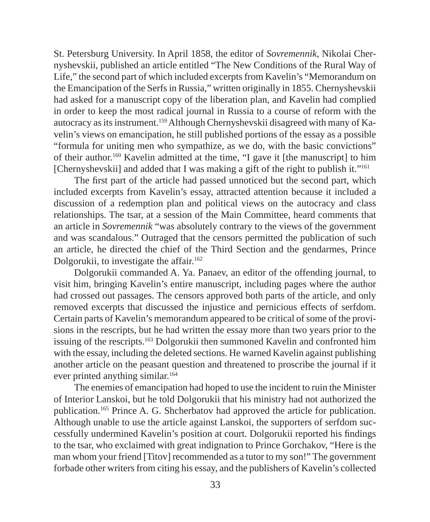St. Petersburg University. In April 1858, the editor of *Sovremennik*, Nikolai Chernyshevskii, published an article entitled "The New Conditions of the Rural Way of Life," the second part of which included excerpts from Kavelin's "Memorandum on the Emancipation of the Serfs in Russia," written originally in 1855. Chernyshevskii had asked for a manuscript copy of the liberation plan, and Kavelin had complied in order to keep the most radical journal in Russia to a course of reform with the autocracy as its instrument.159 Although Chernyshevskii disagreed with many of Kavelin's views on emancipation, he still published portions of the essay as a possible "formula for uniting men who sympathize, as we do, with the basic convictions" of their author.160 Kavelin admitted at the time, "I gave it [the manuscript] to him [Chernyshevskii] and added that I was making a gift of the right to publish it."<sup>161</sup>

The first part of the article had passed unnoticed but the second part, which included excerpts from Kavelin's essay, attracted attention because it included a discussion of a redemption plan and political views on the autocracy and class relationships. The tsar, at a session of the Main Committee, heard comments that an article in *Sovremennik* "was absolutely contrary to the views of the government and was scandalous." Outraged that the censors permitted the publication of such an article, he directed the chief of the Third Section and the gendarmes, Prince Dolgorukii, to investigate the affair.<sup>162</sup>

Dolgorukii commanded A. Ya. Panaev, an editor of the offending journal, to visit him, bringing Kavelin's entire manuscript, including pages where the author had crossed out passages. The censors approved both parts of the article, and only removed excerpts that discussed the injustice and pernicious effects of serfdom. Certain parts of Kavelin's memorandum appeared to be critical of some of the provisions in the rescripts, but he had written the essay more than two years prior to the issuing of the rescripts.163 Dolgorukii then summoned Kavelin and confronted him with the essay, including the deleted sections. He warned Kavelin against publishing another article on the peasant question and threatened to proscribe the journal if it ever printed anything similar.<sup>164</sup>

The enemies of emancipation had hoped to use the incident to ruin the Minister of Interior Lanskoi, but he told Dolgorukii that his ministry had not authorized the publication.165 Prince A. G. Shcherbatov had approved the article for publication. Although unable to use the article against Lanskoi, the supporters of serfdom successfully undermined Kavelin's position at court. Dolgorukii reported his findings to the tsar, who exclaimed with great indignation to Prince Gorchakov, "Here is the man whom your friend [Titov] recommended as a tutor to my son!" The government forbade other writers from citing his essay, and the publishers of Kavelin's collected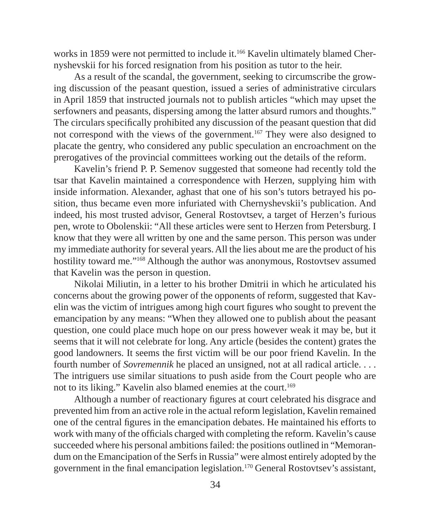works in 1859 were not permitted to include it.<sup>166</sup> Kavelin ultimately blamed Chernyshevskii for his forced resignation from his position as tutor to the heir.

As a result of the scandal, the government, seeking to circumscribe the growing discussion of the peasant question, issued a series of administrative circulars in April 1859 that instructed journals not to publish articles "which may upset the serfowners and peasants, dispersing among the latter absurd rumors and thoughts." The circulars specifically prohibited any discussion of the peasant question that did not correspond with the views of the government.167 They were also designed to placate the gentry, who considered any public speculation an encroachment on the prerogatives of the provincial committees working out the details of the reform.

Kavelin's friend P. P. Semenov suggested that someone had recently told the tsar that Kavelin maintained a correspondence with Herzen, supplying him with inside information. Alexander, aghast that one of his son's tutors betrayed his position, thus became even more infuriated with Chernyshevskii's publication. And indeed, his most trusted advisor, General Rostovtsev, a target of Herzen's furious pen, wrote to Obolenskii: "All these articles were sent to Herzen from Petersburg. I know that they were all written by one and the same person. This person was under my immediate authority for several years. All the lies about me are the product of his hostility toward me."168 Although the author was anonymous, Rostovtsev assumed that Kavelin was the person in question.

Nikolai Miliutin, in a letter to his brother Dmitrii in which he articulated his concerns about the growing power of the opponents of reform, suggested that Kavelin was the victim of intrigues among high court figures who sought to prevent the emancipation by any means: "When they allowed one to publish about the peasant question, one could place much hope on our press however weak it may be, but it seems that it will not celebrate for long. Any article (besides the content) grates the good landowners. It seems the first victim will be our poor friend Kavelin. In the fourth number of *Sovremennik* he placed an unsigned, not at all radical article. . . . The intriguers use similar situations to push aside from the Court people who are not to its liking." Kavelin also blamed enemies at the court.<sup>169</sup>

Although a number of reactionary figures at court celebrated his disgrace and prevented him from an active role in the actual reform legislation, Kavelin remained one of the central figures in the emancipation debates. He maintained his efforts to work with many of the officials charged with completing the reform. Kavelin's cause succeeded where his personal ambitions failed: the positions outlined in "Memorandum on the Emancipation of the Serfs in Russia" were almost entirely adopted by the government in the final emancipation legislation.<sup>170</sup> General Rostovtsev's assistant,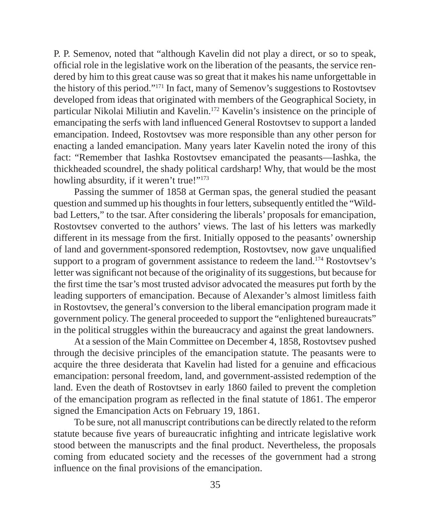P. P. Semenov, noted that "although Kavelin did not play a direct, or so to speak, official role in the legislative work on the liberation of the peasants, the service rendered by him to this great cause was so great that it makes his name unforgettable in the history of this period."171 In fact, many of Semenov's suggestions to Rostovtsev developed from ideas that originated with members of the Geographical Society, in particular Nikolai Miliutin and Kavelin.172 Kavelin's insistence on the principle of emancipating the serfs with land influenced General Rostovtsev to support a landed emancipation. Indeed, Rostovtsev was more responsible than any other person for enacting a landed emancipation. Many years later Kavelin noted the irony of this fact: "Remember that Iashka Rostovtsev emancipated the peasants—Iashka, the thickheaded scoundrel, the shady political cardsharp! Why, that would be the most howling absurdity, if it weren't true!"<sup>173</sup>

Passing the summer of 1858 at German spas, the general studied the peasant question and summed up his thoughts in four letters, subsequently entitled the "Wildbad Letters," to the tsar. After considering the liberals' proposals for emancipation, Rostovtsev converted to the authors' views. The last of his letters was markedly different in its message from the first. Initially opposed to the peasants' ownership of land and government-sponsored redemption, Rostovtsev, now gave unqualified support to a program of government assistance to redeem the land.<sup>174</sup> Rostovtsev's letter was significant not because of the originality of its suggestions, but because for the first time the tsar's most trusted advisor advocated the measures put forth by the leading supporters of emancipation. Because of Alexander's almost limitless faith in Rostovtsev, the general's conversion to the liberal emancipation program made it government policy. The general proceeded to support the "enlightened bureaucrats" in the political struggles within the bureaucracy and against the great landowners.

At a session of the Main Committee on December 4, 1858, Rostovtsev pushed through the decisive principles of the emancipation statute. The peasants were to acquire the three desiderata that Kavelin had listed for a genuine and efficacious emancipation: personal freedom, land, and government-assisted redemption of the land. Even the death of Rostovtsev in early 1860 failed to prevent the completion of the emancipation program as reflected in the final statute of 1861. The emperor signed the Emancipation Acts on February 19, 1861.

To be sure, not all manuscript contributions can be directly related to the reform statute because five years of bureaucratic infighting and intricate legislative work stood between the manuscripts and the final product. Nevertheless, the proposals coming from educated society and the recesses of the government had a strong influence on the final provisions of the emancipation.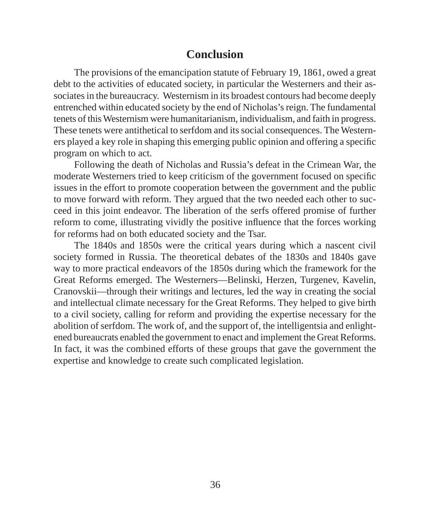#### **Conclusion**

The provisions of the emancipation statute of February 19, 1861, owed a great debt to the activities of educated society, in particular the Westerners and their associates in the bureaucracy. Westernism in its broadest contours had become deeply entrenched within educated society by the end of Nicholas's reign. The fundamental tenets of this Westernism were humanitarianism, individualism, and faith in progress. These tenets were antithetical to serfdom and its social consequences. The Westerners played a key role in shaping this emerging public opinion and offering a specific program on which to act.

Following the death of Nicholas and Russia's defeat in the Crimean War, the moderate Westerners tried to keep criticism of the government focused on specific issues in the effort to promote cooperation between the government and the public to move forward with reform. They argued that the two needed each other to succeed in this joint endeavor. The liberation of the serfs offered promise of further reform to come, illustrating vividly the positive influence that the forces working for reforms had on both educated society and the Tsar.

The 1840s and 1850s were the critical years during which a nascent civil society formed in Russia. The theoretical debates of the 1830s and 1840s gave way to more practical endeavors of the 1850s during which the framework for the Great Reforms emerged. The Westerners—Belinski, Herzen, Turgenev, Kavelin, Cranovskii—through their writings and lectures, led the way in creating the social and intellectual climate necessary for the Great Reforms. They helped to give birth to a civil society, calling for reform and providing the expertise necessary for the abolition of serfdom. The work of, and the support of, the intelligentsia and enlightened bureaucrats enabled the government to enact and implement the Great Reforms. In fact, it was the combined efforts of these groups that gave the government the expertise and knowledge to create such complicated legislation.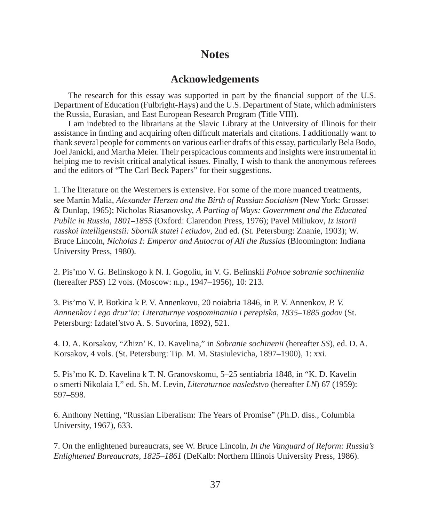#### **Notes**

#### **Acknowledgements**

The research for this essay was supported in part by the financial support of the U.S. Department of Education (Fulbright-Hays) and the U.S. Department of State, which administers the Russia, Eurasian, and East European Research Program (Title VIII).

I am indebted to the librarians at the Slavic Library at the University of Illinois for their assistance in finding and acquiring often difficult materials and citations. I additionally want to thank several people for comments on various earlier drafts of this essay, particularly Bela Bodo, Joel Janicki, and Martha Meier. Their perspicacious comments and insights were instrumental in helping me to revisit critical analytical issues. Finally, I wish to thank the anonymous referees and the editors of "The Carl Beck Papers" for their suggestions.

1. The literature on the Westerners is extensive. For some of the more nuanced treatments, see Martin Malia, *Alexander Herzen and the Birth of Russian Socialism* (New York: Grosset & Dunlap, 1965); Nicholas Riasanovsky, *A Parting of Ways: Government and the Educated Public in Russia, 1801–1855* (Oxford: Clarendon Press, 1976); Pavel Miliukov*, Iz istorii russkoi intelligenstsii: Sbornik statei i etiudov*, 2nd ed. (St. Petersburg: Znanie, 1903); W. Bruce Lincoln, *Nicholas I: Emperor and Autocrat of All the Russias* (Bloomington: Indiana University Press, 1980).

2. Pis'mo V. G. Belinskogo k N. I. Gogoliu, in V. G. Belinskii *Polnoe sobranie sochineniia* (hereafter *PSS*) 12 vols. (Moscow: n.p., 1947–1956), 10: 213.

3. Pis'mo V. P. Botkina k P. V. Annenkovu, 20 noiabria 1846, in P. V. Annenkov, *P. V. Annnenkov i ego druz'ia: Literaturnye vospominaniia i perepiska, 1835–1885 godov* (St. Petersburg: Izdatel'stvo A. S. Suvorina, 1892), 521.

4. D. A. Korsakov, "Zhizn' K. D. Kavelina," in *Sobranie sochinenii* (hereafter *SS*), ed. D. A. Korsakov, 4 vols. (St. Petersburg: Tip. M. M. Stasiulevicha, 1897–1900), 1: xxi.

5. Pis'mo K. D. Kavelina k T. N. Granovskomu, 5–25 sentiabria 1848, in "K. D. Kavelin o smerti Nikolaia I," ed. Sh. M. Levin, *Literaturnoe nasledstvo* (hereafter *LN*) 67 (1959): 597–598.

6. Anthony Netting, "Russian Liberalism: The Years of Promise" (Ph.D. diss., Columbia University, 1967), 633.

7. On the enlightened bureaucrats, see W. Bruce Lincoln, *In the Vanguard of Reform: Russia's Enlightened Bureaucrats, 1825–1861* (DeKalb: Northern Illinois University Press, 1986).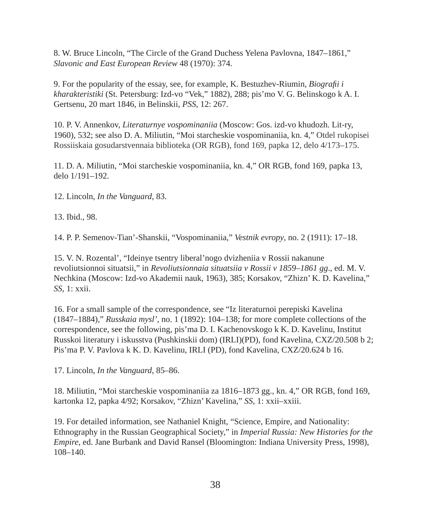8. W. Bruce Lincoln, "The Circle of the Grand Duchess Yelena Pavlovna, 1847–1861," *Slavonic and East European Review* 48 (1970): 374.

9. For the popularity of the essay, see, for example, K. Bestuzhev-Riumin, *Biografi i i kharakteristiki* (St. Petersburg: Izd-vo "Vek," 1882), 288; pis'mo V. G. Belinskogo k A. I. Gertsenu, 20 mart 1846, in Belinskii, *PSS*, 12: 267.

10. P. V. Annenkov, *Literaturnye vospominaniia* (Moscow: Gos. izd-vo khudozh. Lit-ry, 1960), 532; see also D. A. Miliutin, "Moi starcheskie vospominaniia, kn. 4," Otdel rukopisei Rossiiskaia gosudarstvennaia biblioteka (OR RGB), fond 169, papka 12, delo 4/173–175.

11. D. A. Miliutin, "Moi starcheskie vospominaniia, kn. 4," OR RGB, fond 169, papka 13, delo 1/191–192.

12. Lincoln, *In the Vanguard*, 83.

13. Ibid., 98.

14. P. P. Semenov-Tian'-Shanskii, "Vospominaniia," *Vestnik evropy*, no. 2 (1911): 17–18.

15. V. N. Rozental', "Ideinye tsentry liberal'nogo dvizheniia v Rossii nakanune revoliutsionnoi situatsii," in *Revoliutsionnaia situatsiia v Rossii v 1859–1861 gg*., ed. M. V. Nechkina (Moscow: Izd-vo Akademii nauk, 1963), 385; Korsakov, "Zhizn' K. D. Kavelina," *SS*, 1: xxii.

16. For a small sample of the correspondence, see "Iz literaturnoi perepiski Kavelina (1847–1884)," *Russkaia mysl',* no. 1 (1892): 104–138; for more complete collections of the correspondence, see the following, pis'ma D. I. Kachenovskogo k K. D. Kavelinu, Institut Russkoi literatury i iskusstva (Pushkinskii dom) (IRLI)(PD), fond Kavelina, CXZ/20.508 b 2; Pis'ma P. V. Pavlova k K. D. Kavelinu, IRLI (PD), fond Kavelina, CXZ/20.624 b 16.

17. Lincoln, *In the Vanguard*, 85–86.

18. Miliutin, "Moi starcheskie vospominaniia za 1816–1873 gg., kn. 4," OR RGB, fond 169, kartonka 12, papka 4/92; Korsakov, "Zhizn' Kavelina," *SS*, 1: xxii–xxiii.

19. For detailed information, see Nathaniel Knight, "Science, Empire, and Nationality: Ethnography in the Russian Geographical Society," in *Imperial Russia: New Histories for the Empire*, ed. Jane Burbank and David Ransel (Bloomington: Indiana University Press, 1998), 108–140.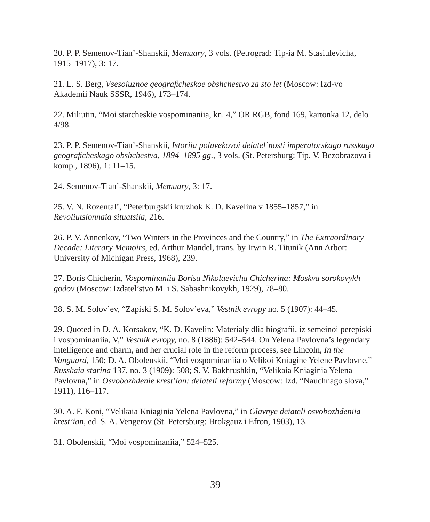20. P. P. Semenov-Tian'-Shanskii, *Memuary*, 3 vols. (Petrograd: Tip-ia M. Stasiulevicha, 1915–1917), 3: 17.

21. L. S. Berg, *Vsesoiuznoe geografi cheskoe obshchestvo za sto let* (Moscow: Izd-vo Akademii Nauk SSSR, 1946), 173–174.

22. Miliutin, "Moi starcheskie vospominaniia, kn. 4," OR RGB, fond 169, kartonka 12, delo 4/98.

23. P. P. Semenov-Tian'-Shanskii*, Istoriia poluvekovoi deiatel'nosti imperatorskago russkago geografi cheskago obshchestva, 1894–1895 gg*., 3 vols. (St. Petersburg: Tip. V. Bezobrazova i komp., 1896), 1: 11–15.

24. Semenov-Tian'-Shanskii, *Memuary*, 3: 17.

25. V. N. Rozental', "Peterburgskii kruzhok K. D. Kavelina v 1855–1857," in *Revoliutsionnaia situatsiia*, 216.

26. P. V. Annenkov, "Two Winters in the Provinces and the Country," in *The Extraordinary Decade: Literary Memoirs*, ed. Arthur Mandel, trans. by Irwin R. Titunik (Ann Arbor: University of Michigan Press, 1968), 239.

27. Boris Chicherin, *Vospominaniia Borisa Nikolaevicha Chicherina: Moskva sorokovykh godov* (Moscow: Izdatel'stvo M. i S. Sabashnikovykh, 1929), 78–80.

28. S. M. Solov'ev, "Zapiski S. M. Solov'eva," *Vestnik evropy* no. 5 (1907): 44–45.

29. Quoted in D. A. Korsakov, "K. D. Kavelin: Materialy dlia biografii, iz semeinoi perepiski i vospominaniia, V," *Vestnik evropy,* no. 8 (1886): 542–544. On Yelena Pavlovna's legendary intelligence and charm, and her crucial role in the reform process, see Lincoln, *In the Vanguard*, 150; D. A. Obolenskii, "Moi vospominaniia o Velikoi Kniagine Yelene Pavlovne," *Russkaia starina* 137, no. 3 (1909): 508; S. V. Bakhrushkin, "Velikaia Kniaginia Yelena Pavlovna," in *Osvobozhdenie krest'ian: deiateli reformy* (Moscow: Izd. "Nauchnago slova," 1911), 116–117.

30. A. F. Koni, "Velikaia Kniaginia Yelena Pavlovna," in *Glavnye deiateli osvobozhdeniia krest'ian*, ed. S. A. Vengerov (St. Petersburg: Brokgauz i Efron, 1903), 13.

31. Obolenskii, "Moi vospominaniia," 524–525.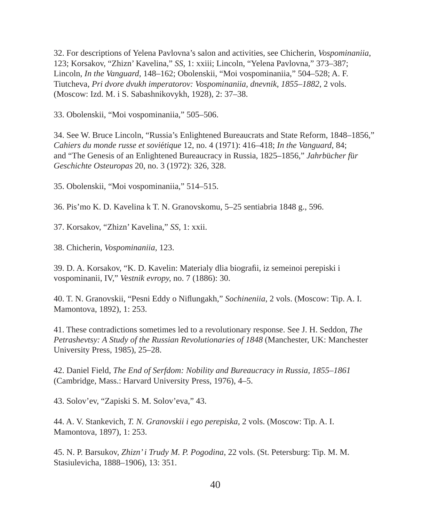32. For descriptions of Yelena Pavlovna's salon and activities, see Chicherin, *Vospominaniia*, 123; Korsakov, "Zhizn' Kavelina," *SS*, 1: xxiii; Lincoln, "Yelena Pavlovna," 373–387; Lincoln, *In the Vanguard*, 148–162; Obolenskii, "Moi vospominaniia," 504–528; A. F. Tiutcheva, *Pri dvore dvukh imperatorov: Vospominaniia, dnevnik, 1855–1882*, 2 vols. (Moscow: Izd. M. i S. Sabashnikovykh, 1928), 2: 37–38.

33. Obolenskii, "Moi vospominaniia," 505–506.

34. See W. Bruce Lincoln, "Russia's Enlightened Bureaucrats and State Reform, 1848–1856," *Cahiers du monde russe et sovi*é*tique* 12, no. 4 (1971): 416–418; *In the Vanguard*, 84; and "The Genesis of an Enlightened Bureaucracy in Russia, 1825–1856," *Jahrb*ü*cher f*ü*r Geschichte Osteuropas* 20, no. 3 (1972): 326, 328.

35. Obolenskii, "Moi vospominaniia," 514–515.

36. Pis'mo K. D. Kavelina k T. N. Granovskomu, 5–25 sentiabria 1848 g., 596.

37. Korsakov, "Zhizn' Kavelina," *SS*, 1: xxii.

38. Chicherin, *Vospominaniia*, 123.

39. D. A. Korsakov, "K. D. Kavelin: Materialy dlia biografi i, iz semeinoi perepiski i vospominanii, IV," *Vestnik evropy,* no. 7 (1886): 30.

40. T. N. Granovskii, "Pesni Eddy o Niflungakh," *Sochineniia*, 2 vols. (Moscow: Tip. A. I. Mamontova, 1892), 1: 253.

41. These contradictions sometimes led to a revolutionary response. See J. H. Seddon, *The Petrashevtsy: A Study of the Russian Revolutionaries of 1848* (Manchester, UK: Manchester University Press, 1985), 25–28.

42. Daniel Field, *The End of Serfdom: Nobility and Bureaucracy in Russia, 1855–1861* (Cambridge, Mass.: Harvard University Press, 1976), 4–5.

43. Solov'ev, "Zapiski S. M. Solov'eva," 43.

44. A. V. Stankevich, *T. N. Granovskii i ego perepiska*, 2 vols. (Moscow: Tip. A. I. Mamontova, 1897), 1: 253.

45. N. P. Barsukov, *Zhizn' i Trudy M. P. Pogodina*, 22 vols. (St. Petersburg: Tip. M. M. Stasiulevicha, 1888–1906), 13: 351.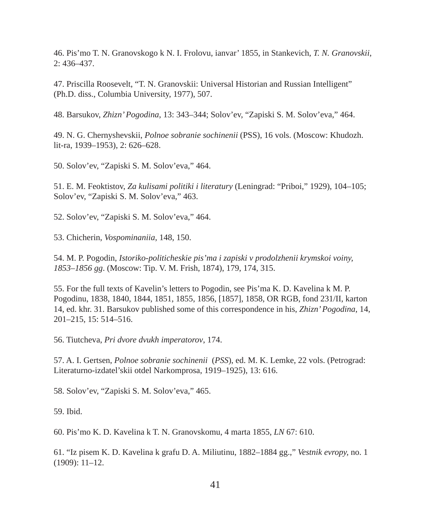46. Pis'mo T. N. Granovskogo k N. I. Frolovu, ianvar' 1855, in Stankevich, *T. N. Granovskii*, 2: 436–437.

47. Priscilla Roosevelt, "T. N. Granovskii: Universal Historian and Russian Intelligent" (Ph.D. diss., Columbia University, 1977), 507.

48. Barsukov, *Zhizn' Pogodina*, 13: 343–344; Solov'ev, "Zapiski S. M. Solov'eva," 464.

49. N. G. Chernyshevskii, *Polnoe sobranie sochinenii* (PSS), 16 vols. (Moscow: Khudozh. lit-ra, 1939–1953), 2: 626–628.

50. Solov'ev, "Zapiski S. M. Solov'eva," 464.

51. E. M. Feoktistov, *Za kulisami politiki i literatury* (Leningrad: "Priboi," 1929), 104–105; Solov'ev, "Zapiski S. M. Solov'eva," 463.

52. Solov'ev, "Zapiski S. M. Solov'eva," 464.

53. Chicherin, *Vospominaniia*, 148, 150.

54. M. P. Pogodin, *Istoriko-politicheskie pis'ma i zapiski v prodolzhenii krymskoi voiny, 1853–1856 gg*. (Moscow: Tip. V. M. Frish, 1874), 179, 174, 315.

55. For the full texts of Kavelin's letters to Pogodin, see Pis'ma K. D. Kavelina k M. P. Pogodinu, 1838, 1840, 1844, 1851, 1855, 1856, [1857], 1858, OR RGB, fond 231/II, karton 14, ed. khr. 31. Barsukov published some of this correspondence in his, *Zhizn' Pogodina*, 14, 201–215, 15: 514–516.

56. Tiutcheva, *Pri dvore dvukh imperatorov*, 174.

57. A. I. Gertsen, *Polnoe sobranie sochinenii* (*PSS*), ed. M. K. Lemke, 22 vols. (Petrograd: Literaturno-izdatel'skii otdel Narkomprosa, 1919–1925), 13: 616.

58. Solov'ev, "Zapiski S. M. Solov'eva," 465.

59. Ibid.

60. Pis'mo K. D. Kavelina k T. N. Granovskomu, 4 marta 1855, *LN* 67: 610.

61. "Iz pisem K. D. Kavelina k grafu D. A. Miliutinu, 1882–1884 gg.," *Vestnik evropy,* no. 1 (1909): 11–12.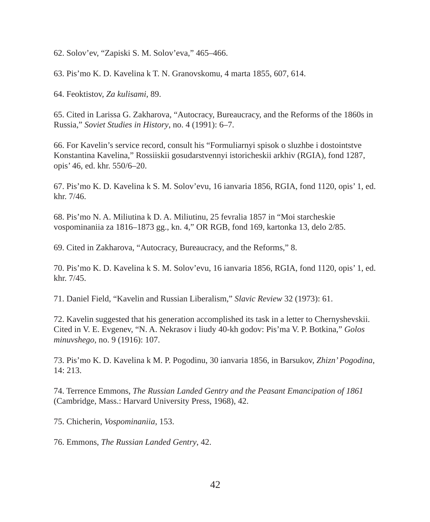62. Solov'ev, "Zapiski S. M. Solov'eva," 465–466.

63. Pis'mo K. D. Kavelina k T. N. Granovskomu, 4 marta 1855, 607, 614.

64. Feoktistov, *Za kulisami*, 89.

65. Cited in Larissa G. Zakharova, "Autocracy, Bureaucracy, and the Reforms of the 1860s in Russia," *Soviet Studies in History*, no. 4 (1991): 6–7.

66. For Kavelin's service record, consult his "Formuliarnyi spisok o sluzhbe i dostointstve Konstantina Kavelina," Rossiiskii gosudarstvennyi istoricheskii arkhiv (RGIA), fond 1287, opis' 46, ed. khr. 550/6–20.

67. Pis'mo K. D. Kavelina k S. M. Solov'evu, 16 ianvaria 1856, RGIA, fond 1120, opis' 1, ed. khr. 7/46.

68. Pis'mo N. A. Miliutina k D. A. Miliutinu, 25 fevralia 1857 in "Moi starcheskie vospominaniia za 1816–1873 gg., kn. 4," OR RGB, fond 169, kartonka 13, delo 2/85.

69. Cited in Zakharova, "Autocracy, Bureaucracy, and the Reforms," 8.

70. Pis'mo K. D. Kavelina k S. M. Solov'evu, 16 ianvaria 1856, RGIA, fond 1120, opis' 1, ed. khr. 7/45.

71. Daniel Field, "Kavelin and Russian Liberalism," *Slavic Review* 32 (1973): 61.

72. Kavelin suggested that his generation accomplished its task in a letter to Chernyshevskii. Cited in V. E. Evgenev, "N. A. Nekrasov i liudy 40-kh godov: Pis'ma V. P. Botkina," *Golos minuvshego,* no. 9 (1916): 107.

73. Pis'mo K. D. Kavelina k M. P. Pogodinu, 30 ianvaria 1856, in Barsukov, *Zhizn' Pogodina*, 14: 213.

74. Terrence Emmons, *The Russian Landed Gentry and the Peasant Emancipation of 1861* (Cambridge, Mass.: Harvard University Press, 1968), 42.

75. Chicherin, *Vospominaniia*, 153.

76. Emmons, *The Russian Landed Gentry*, 42.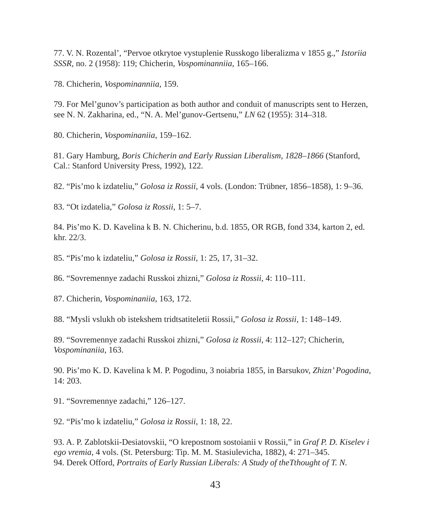77. V. N. Rozental', "Pervoe otkrytoe vystuplenie Russkogo liberalizma v 1855 g.," *Istoriia SSSR,* no. 2 (1958): 119; Chicherin, *Vospominanniia*, 165–166.

78. Chicherin, *Vospominanniia*, 159.

79. For Mel'gunov's participation as both author and conduit of manuscripts sent to Herzen, see N. N. Zakharina, ed., "N. A. Mel'gunov-Gertsenu," *LN* 62 (1955): 314–318.

80. Chicherin, *Vospominaniia*, 159–162.

81. Gary Hamburg, *Boris Chicherin and Early Russian Liberalism, 1828–1866* (Stanford, Cal.: Stanford University Press, 1992), 122.

82. "Pis'mo k izdateliu," *Golosa iz Rossii*, 4 vols. (London: Trübner, 1856–1858), 1: 9–36.

83. "Ot izdatelia," *Golosa iz Rossii*, 1: 5–7.

84. Pis'mo K. D. Kavelina k B. N. Chicherinu, b.d. 1855, OR RGB, fond 334, karton 2, ed. khr. 22/3.

85. "Pis'mo k izdateliu," *Golosa iz Rossii*, 1: 25, 17, 31–32.

86. "Sovremennye zadachi Russkoi zhizni," *Golosa iz Rossii*, 4: 110–111.

87. Chicherin, *Vospominaniia*, 163, 172.

88. "Mysli vslukh ob istekshem tridtsatiteletii Rossii," *Golosa iz Rossii*, 1: 148–149.

89. "Sovremennye zadachi Russkoi zhizni," *Golosa iz Rossii*, 4: 112–127; Chicherin, *Vospominaniia*, 163.

90. Pis'mo K. D. Kavelina k M. P. Pogodinu, 3 noiabria 1855, in Barsukov, *Zhizn' Pogodina*, 14: 203.

91. "Sovremennye zadachi," 126–127.

92. "Pis'mo k izdateliu," *Golosa iz Rossii*, 1: 18, 22.

93. A. P. Zablotskii-Desiatovskii, "O krepostnom sostoianii v Rossii," in *Graf P. D. Kiselev i ego vremia*, 4 vols. (St. Petersburg: Tip. M. M. Stasiulevicha, 1882), 4: 271–345. 94. Derek Offord, *Portraits of Early Russian Liberals: A Study of theTthought of T. N.*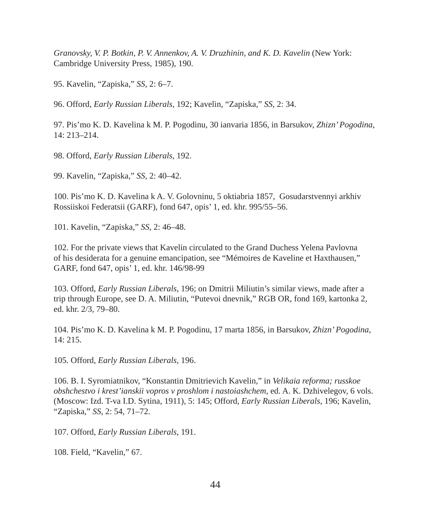*Granovsky, V. P. Botkin, P. V. Annenkov, A. V. Druzhinin, and K. D. Kavelin* (New York: Cambridge University Press, 1985), 190.

95. Kavelin, "Zapiska," *SS*, 2: 6–7.

96. Offord, *Early Russian Liberals*, 192; Kavelin, "Zapiska," *SS*, 2: 34.

97. Pis'mo K. D. Kavelina k M. P. Pogodinu, 30 ianvaria 1856, in Barsukov, *Zhizn' Pogodina*, 14: 213–214.

98. Offord, *Early Russian Liberals*, 192.

99. Kavelin, "Zapiska," *SS*, 2: 40–42.

100. Pis'mo K. D. Kavelina k A. V. Golovninu, 5 oktiabria 1857, Gosudarstvennyi arkhiv Rossiiskoi Federatsii (GARF), fond 647, opis' 1, ed. khr. 995/55–56.

101. Kavelin, "Zapiska," *SS*, 2: 46–48.

102. For the private views that Kavelin circulated to the Grand Duchess Yelena Pavlovna of his desiderata for a genuine emancipation, see "Mémoires de Kaveline et Haxthausen," GARF, fond 647, opis' 1, ed. khr. 146/98-99

103. Offord, *Early Russian Liberals*, 196; on Dmitrii Miliutin's similar views, made after a trip through Europe, see D. A. Miliutin, "Putevoi dnevnik," RGB OR, fond 169, kartonka 2, ed. khr. 2/3, 79–80.

104. Pis'mo K. D. Kavelina k M. P. Pogodinu, 17 marta 1856, in Barsukov, *Zhizn' Pogodina*, 14: 215.

105. Offord, *Early Russian Liberals*, 196.

106. B. I. Syromiatnikov, "Konstantin Dmitrievich Kavelin," in *Velikaia reforma; russkoe obshchestvo i krest'ianskii vopros v proshlom i nastoiashchem*, ed. A. K. Dzhivelegov, 6 vols. (Moscow: Izd. T-va I.D. Sytina, 1911), 5: 145; Offord, *Early Russian Liberals*, 196; Kavelin, "Zapiska," *SS*, 2: 54, 71–72.

107. Offord, *Early Russian Liberals*, 191.

108. Field, "Kavelin," 67.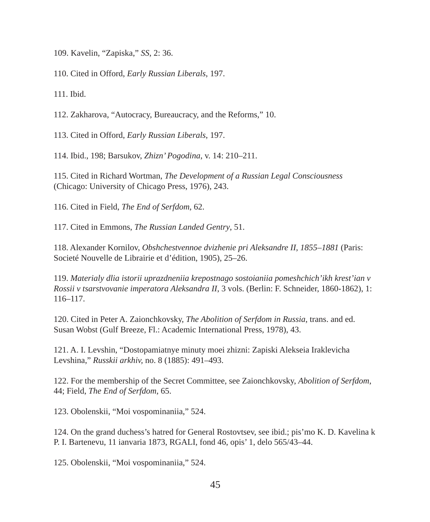109. Kavelin, "Zapiska," *SS*, 2: 36.

110. Cited in Offord, *Early Russian Liberals*, 197.

111. Ibid.

112. Zakharova, "Autocracy, Bureaucracy, and the Reforms," 10.

113. Cited in Offord, *Early Russian Liberals*, 197.

114. Ibid., 198; Barsukov, *Zhizn' Pogodina*, v. 14: 210–211.

115. Cited in Richard Wortman, *The Development of a Russian Legal Consciousness* (Chicago: University of Chicago Press, 1976), 243.

116. Cited in Field, *The End of Serfdom*, 62.

117. Cited in Emmons, *The Russian Landed Gentry*, 51.

118. Alexander Kornilov, *Obshchestvennoe dvizhenie pri Aleksandre II, 1855–1881* (Paris: Societé Nouvelle de Librairie et d'édition, 1905), 25–26.

119. *Materialy dlia istorii uprazdneniia krepostnago sostoianiia pomeshchich'ikh krest'ian v Rossii v tsarstvovanie imperatora Aleksandra II*, 3 vols. (Berlin: F. Schneider, 1860-1862), 1: 116–117.

120. Cited in Peter A. Zaionchkovsky, *The Abolition of Serfdom in Russia*, trans. and ed. Susan Wobst (Gulf Breeze, Fl.: Academic International Press, 1978), 43.

121. A. I. Levshin, "Dostopamiatnye minuty moei zhizni: Zapiski Alekseia Iraklevicha Levshina," *Russkii arkhiv,* no. 8 (1885): 491–493.

122. For the membership of the Secret Committee, see Zaionchkovsky, *Abolition of Serfdom*, 44; Field, *The End of Serfdom*, 65.

123. Obolenskii, "Moi vospominaniia," 524.

124. On the grand duchess's hatred for General Rostovtsev, see ibid.; pis'mo K. D. Kavelina k P. I. Bartenevu, 11 ianvaria 1873, RGALI, fond 46, opis' 1, delo 565/43–44.

125. Obolenskii, "Moi vospominaniia," 524.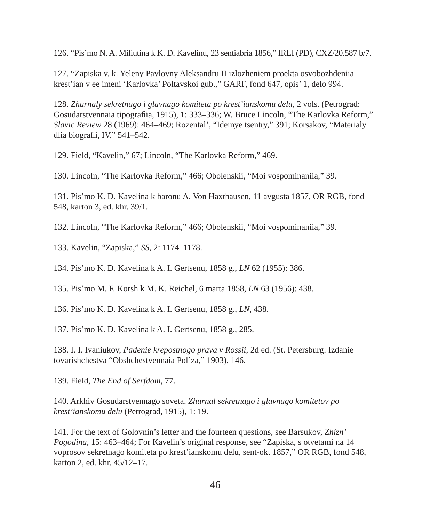126. "Pis'mo N. A. Miliutina k K. D. Kavelinu, 23 sentiabria 1856," IRLI (PD), CXZ/20.587 b/7.

127. "Zapiska v. k. Yeleny Pavlovny Aleksandru II izlozheniem proekta osvobozhdeniia krest'ian v ee imeni 'Karlovka' Poltavskoi gub.," GARF, fond 647, opis' 1, delo 994.

128. *Zhurnaly sekretnago i glavnago komiteta po krest'ianskomu delu*, 2 vols. (Petrograd: Gosudarstvennaia tipografiia, 1915), 1: 333–336; W. Bruce Lincoln, "The Karlovka Reform," *Slavic Review* 28 (1969): 464–469; Rozental', "Ideinye tsentry," 391; Korsakov, "Materialy dlia biografii, IV,"  $541-542$ .

129. Field, "Kavelin," 67; Lincoln, "The Karlovka Reform," 469.

130. Lincoln, "The Karlovka Reform," 466; Obolenskii, "Moi vospominaniia," 39.

131. Pis'mo K. D. Kavelina k baronu A. Von Haxthausen, 11 avgusta 1857, OR RGB, fond 548, karton 3, ed. khr. 39/1.

132. Lincoln, "The Karlovka Reform," 466; Obolenskii, "Moi vospominaniia," 39.

133. Kavelin, "Zapiska," *SS*, 2: 1174–1178.

134. Pis'mo K. D. Kavelina k A. I. Gertsenu, 1858 g., *LN* 62 (1955): 386.

135. Pis'mo M. F. Korsh k M. K. Reichel, 6 marta 1858, *LN* 63 (1956): 438.

136. Pis'mo K. D. Kavelina k A. I. Gertsenu, 1858 g., *LN*, 438.

137. Pis'mo K. D. Kavelina k A. I. Gertsenu, 1858 g., 285.

138. I. I. Ivaniukov, *Padenie krepostnogo prava v Rossii*, 2d ed. (St. Petersburg: Izdanie tovarishchestva "Obshchestvennaia Pol'za," 1903), 146.

139. Field, *The End of Serfdom*, 77.

140. Arkhiv Gosudarstvennago soveta. *Zhurnal sekretnago i glavnago komitetov po krest'ianskomu delu* (Petrograd, 1915), 1: 19.

141. For the text of Golovnin's letter and the fourteen questions, see Barsukov, *Zhizn' Pogodina*, 15: 463–464; For Kavelin's original response, see "Zapiska, s otvetami na 14 voprosov sekretnago komiteta po krest'ianskomu delu, sent-okt 1857," OR RGB, fond 548, karton 2, ed. khr. 45/12–17.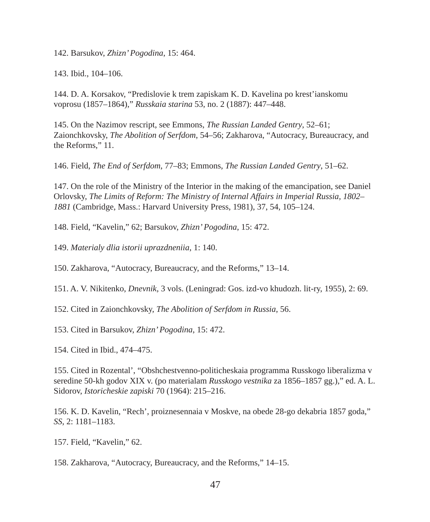142. Barsukov, *Zhizn' Pogodina*, 15: 464.

143. Ibid., 104–106.

144. D. A. Korsakov, "Predislovie k trem zapiskam K. D. Kavelina po krest'ianskomu voprosu (1857–1864)," *Russkaia starina* 53, no. 2 (1887): 447–448.

145. On the Nazimov rescript, see Emmons, *The Russian Landed Gentry*, 52–61; Zaionchkovsky, *The Abolition of Serfdom*, 54–56; Zakharova, "Autocracy, Bureaucracy, and the Reforms," 11.

146. Field, *The End of Serfdom*, 77–83; Emmons, *The Russian Landed Gentry*, 51–62.

147. On the role of the Ministry of the Interior in the making of the emancipation, see Daniel Orlovsky, *The Limits of Reform: The Ministry of Internal Affairs in Imperial Russia, 1802– 1881* (Cambridge, Mass.: Harvard University Press, 1981), 37, 54, 105–124.

148. Field, "Kavelin," 62; Barsukov, *Zhizn' Pogodina*, 15: 472.

149. *Materialy dlia istorii uprazdneniia*, 1: 140.

150. Zakharova, "Autocracy, Bureaucracy, and the Reforms," 13–14.

151. A. V. Nikitenko, *Dnevnik*, 3 vols. (Leningrad: Gos. izd-vo khudozh. lit-ry, 1955), 2: 69.

152. Cited in Zaionchkovsky, *The Abolition of Serfdom in Russia*, 56.

153. Cited in Barsukov, *Zhizn' Pogodina*, 15: 472.

154. Cited in Ibid., 474–475.

155. Cited in Rozental', "Obshchestvenno-politicheskaia programma Russkogo liberalizma v seredine 50-kh godov XIX v. (po materialam *Russkogo vestnika* za 1856–1857 gg.)," ed. A. L. Sidorov, *Istoricheskie zapiski* 70 (1964): 215–216.

156. K. D. Kavelin, "Rech', proiznesennaia v Moskve, na obede 28-go dekabria 1857 goda," *SS*, 2: 1181–1183.

157. Field, "Kavelin," 62.

158. Zakharova, "Autocracy, Bureaucracy, and the Reforms," 14–15.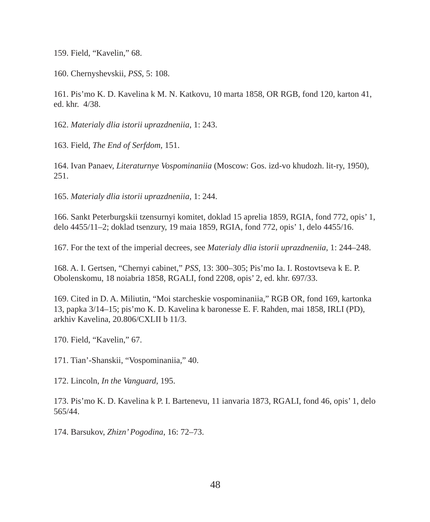159. Field, "Kavelin," 68.

160. Chernyshevskii, *PSS*, 5: 108.

161. Pis'mo K. D. Kavelina k M. N. Katkovu, 10 marta 1858, OR RGB, fond 120, karton 41, ed. khr. 4/38.

162. *Materialy dlia istorii uprazdneniia*, 1: 243.

163. Field, *The End of Serfdom*, 151.

164. Ivan Panaev, *Literaturnye Vospominaniia* (Moscow: Gos. izd-vo khudozh. lit-ry, 1950), 251.

165. *Materialy dlia istorii uprazdneniia*, 1: 244.

166. Sankt Peterburgskii tzensurnyi komitet, doklad 15 aprelia 1859, RGIA, fond 772, opis' 1, delo 4455/11–2; doklad tsenzury, 19 maia 1859, RGIA, fond 772, opis' 1, delo 4455/16.

167. For the text of the imperial decrees, see *Materialy dlia istorii uprazdneniia*, 1: 244–248.

168. A. I. Gertsen, "Chernyi cabinet," *PSS,* 13: 300–305; Pis'mo Ia. I. Rostovtseva k E. P. Obolenskomu, 18 noiabria 1858, RGALI, fond 2208, opis' 2, ed. khr. 697/33.

169. Cited in D. A. Miliutin, "Moi starcheskie vospominaniia," RGB OR, fond 169, kartonka 13, papka 3/14–15; pis'mo K. D. Kavelina k baronesse E. F. Rahden, mai 1858, IRLI (PD), arkhiv Kavelina, 20.806/CXLII b 11/3.

170. Field, "Kavelin," 67.

171. Tian'-Shanskii, "Vospominaniia," 40.

172. Lincoln, *In the Vanguard*, 195.

173. Pis'mo K. D. Kavelina k P. I. Bartenevu, 11 ianvaria 1873, RGALI, fond 46, opis' 1, delo 565/44.

174. Barsukov, *Zhizn' Pogodina*, 16: 72–73.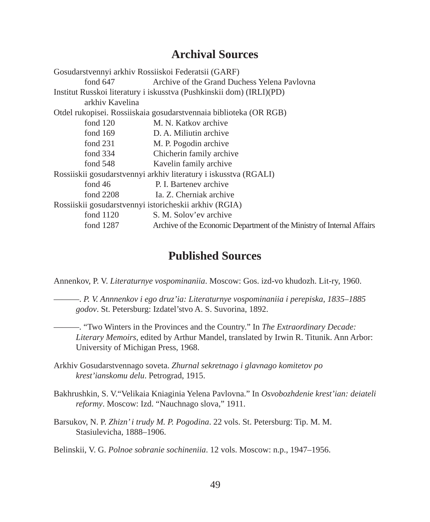#### **Archival Sources**

| Gosudarstvennyi arkhiv Rossiiskoi Federatsii (GARF)              |                                                                        |
|------------------------------------------------------------------|------------------------------------------------------------------------|
| fond $647$                                                       | Archive of the Grand Duchess Yelena Pavlovna                           |
|                                                                  | Institut Russkoi literatury i iskusstva (Pushkinskii dom) (IRLI)(PD)   |
| arkhiv Kavelina                                                  |                                                                        |
|                                                                  | Otdel rukopisei. Rossiiskaia gosudarstvennaia biblioteka (OR RGB)      |
| fond $120$                                                       | M. N. Katkov archive                                                   |
| fond $169$                                                       | D. A. Miliutin archive                                                 |
| fond $231$                                                       | M. P. Pogodin archive                                                  |
| fond $334$                                                       | Chicherin family archive                                               |
| fond $548$                                                       | Kavelin family archive                                                 |
| Rossiiskii gosudarstvennyi arkhiv literatury i iskusstva (RGALI) |                                                                        |
| fond $46$                                                        | P. I. Barteney archive                                                 |
| fond $2208$                                                      | Ia. Z. Cherniak archive                                                |
| Rossiiskii gosudarstvennyi istoricheskii arkhiv (RGIA)           |                                                                        |
| fond $1120$                                                      | S. M. Solov'ev archive                                                 |
| fond 1287                                                        | Archive of the Economic Department of the Ministry of Internal Affairs |
|                                                                  |                                                                        |

#### **Published Sources**

Annenkov, P. V. *Literaturnye vospominaniia*. Moscow: Gos. izd-vo khudozh. Lit-ry, 1960.

———. *P. V. Annnenkov i ego druz'ia: Literaturnye vospominaniia i perepiska, 1835–1885 godov*. St. Petersburg: Izdatel'stvo A. S. Suvorina, 1892.

———. "Two Winters in the Provinces and the Country." In *The Extraordinary Decade: Literary Memoirs*, edited by Arthur Mandel, translated by Irwin R. Titunik. Ann Arbor: University of Michigan Press, 1968.

Arkhiv Gosudarstvennago soveta. *Zhurnal sekretnago i glavnago komitetov po krest'ianskomu delu*. Petrograd, 1915.

- Bakhrushkin, S. V."Velikaia Kniaginia Yelena Pavlovna." In *Osvobozhdenie krest'ian: deiateli reformy*. Moscow: Izd. "Nauchnago slova," 1911.
- Barsukov, N. P. *Zhizn' i trudy M. P. Pogodina*. 22 vols. St. Petersburg: Tip. M. M. Stasiulevicha, 1888–1906.

Belinskii, V. G. *Polnoe sobranie sochineniia*. 12 vols. Moscow: n.p., 1947–1956.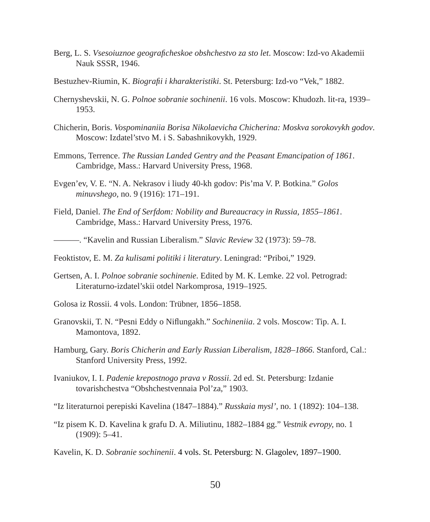- Berg, L. S. *Vsesoiuznoe geografi cheskoe obshchestvo za sto let*. Moscow: Izd-vo Akademii Nauk SSSR, 1946.
- Bestuzhev-Riumin, K. *Biografi i i kharakteristiki*. St. Petersburg: Izd-vo "Vek," 1882.
- Chernyshevskii, N. G. *Polnoe sobranie sochinenii*. 16 vols. Moscow: Khudozh. lit-ra, 1939– 1953.
- Chicherin, Boris. *Vospominaniia Borisa Nikolaevicha Chicherina: Moskva sorokovykh godov*. Moscow: Izdatel'stvo M. i S. Sabashnikovykh, 1929.
- Emmons, Terrence. *The Russian Landed Gentry and the Peasant Emancipation of 1861*. Cambridge, Mass.: Harvard University Press, 1968.
- Evgen'ev, V. E. "N. A. Nekrasov i liudy 40-kh godov: Pis'ma V. P. Botkina." *Golos minuvshego,* no. 9 (1916): 171–191.
- Field, Daniel. *The End of Serfdom: Nobility and Bureaucracy in Russia, 1855–1861*. Cambridge, Mass.: Harvard University Press, 1976.
- ———. "Kavelin and Russian Liberalism." *Slavic Review* 32 (1973): 59–78.
- Feoktistov, E. M. *Za kulisami politiki i literatury*. Leningrad: "Priboi," 1929.
- Gertsen, A. I. *Polnoe sobranie sochinenie*. Edited by M. K. Lemke. 22 vol. Petrograd: Literaturno-izdatel'skii otdel Narkomprosa, 1919–1925.
- Golosa iz Rossii. 4 vols. London: Trübner, 1856–1858.
- Granovskii, T. N. "Pesni Eddy o Nifl ungakh." *Sochineniia*. 2 vols. Moscow: Tip. A. I. Mamontova, 1892.
- Hamburg, Gary. *Boris Chicherin and Early Russian Liberalism, 1828–1866*. Stanford, Cal.: Stanford University Press, 1992.
- Ivaniukov, I. I. *Padenie krepostnogo prava v Rossii*. 2d ed. St. Petersburg: Izdanie tovarishchestva "Obshchestvennaia Pol'za," 1903.

"Iz literaturnoi perepiski Kavelina (1847–1884)." *Russkaia mysl',* no. 1 (1892): 104–138.

- "Iz pisem K. D. Kavelina k grafu D. A. Miliutinu, 1882–1884 gg." *Vestnik evropy,* no. 1 (1909): 5–41.
- Kavelin, K. D. *Sobranie sochinenii*. 4 vols. St. Petersburg: N. Glagolev, 1897–1900.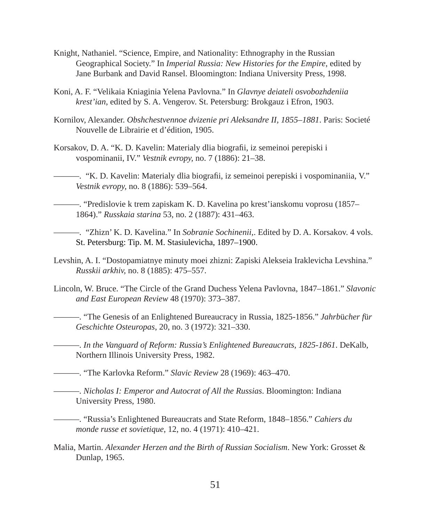- Knight, Nathaniel. "Science, Empire, and Nationality: Ethnography in the Russian Geographical Society." In *Imperial Russia: New Histories for the Empire*, edited by Jane Burbank and David Ransel. Bloomington: Indiana University Press, 1998.
- Koni, A. F. "Velikaia Kniaginia Yelena Pavlovna." In *Glavnye deiateli osvobozhdeniia krest'ian*, edited by S. A. Vengerov. St. Petersburg: Brokgauz i Efron, 1903.
- Kornilov, Alexander. *Obshchestvennoe dvizenie pri Aleksandre II, 1855–1881*. Paris: Societé Nouvelle de Librairie et d'édition, 1905.
- Korsakov, D. A. "K. D. Kavelin: Materialy dlia biografii, iz semeinoi perepiski i vospominanii, IV." *Vestnik evropy,* no. 7 (1886): 21–38.
- ———. "K. D. Kavelin: Materialy dlia biografi i, iz semeinoi perepiski i vospominaniia, V." *Vestnik evropy,* no. 8 (1886): 539–564.
	- ———. "Predislovie k trem zapiskam K. D. Kavelina po krest'ianskomu voprosu (1857– 1864)." *Russkaia starina* 53, no. 2 (1887): 431–463.
- ———. "Zhizn' K. D. Kavelina." In *Sobranie Sochinenii*,. Edited by D. A. Korsakov. 4 vols. St. Petersburg: Tip. M. M. Stasiulevicha, 1897–1900.
- Levshin, A. I. "Dostopamiatnye minuty moei zhizni: Zapiski Alekseia Iraklevicha Levshina." *Russkii arkhiv,* no. 8 (1885): 475–557.
- Lincoln, W. Bruce. "The Circle of the Grand Duchess Yelena Pavlovna, 1847–1861." *Slavonic and East European Review* 48 (1970): 373–387.

———. "The Genesis of an Enlightened Bureaucracy in Russia, 1825-1856." *Jahrb*ü*cher f*ü*r Geschichte Osteuropas*, 20, no. 3 (1972): 321–330.

———. *In the Vanguard of Reform: Russia's Enlightened Bureaucrats, 1825-1861*. DeKalb, Northern Illinois University Press, 1982.

———. "The Karlovka Reform." *Slavic Review* 28 (1969): 463–470.

- ———. *Nicholas I: Emperor and Autocrat of All the Russias*. Bloomington: Indiana University Press, 1980.
- ———. "Russia's Enlightened Bureaucrats and State Reform, 1848–1856." *Cahiers du monde russe et sovietique*, 12, no. 4 (1971): 410–421.
- Malia, Martin. *Alexander Herzen and the Birth of Russian Socialism*. New York: Grosset & Dunlap, 1965.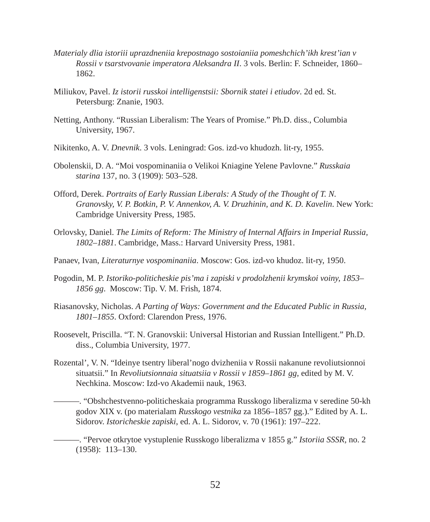- *Materialy dlia istoriii uprazdneniia krepostnago sostoianiia pomeshchich'ikh krest'ian v Rossii v tsarstvovanie imperatora Aleksandra II*. 3 vols. Berlin: F. Schneider, 1860– 1862.
- Miliukov, Pavel. *Iz istorii russkoi intelligenstsii: Sbornik statei i etiudov*. 2d ed. St. Petersburg: Znanie, 1903.
- Netting, Anthony. "Russian Liberalism: The Years of Promise." Ph.D. diss., Columbia University, 1967.
- Nikitenko, A. V. *Dnevnik*. 3 vols. Leningrad: Gos. izd-vo khudozh. lit-ry, 1955.
- Obolenskii, D. A. "Moi vospominaniia o Velikoi Kniagine Yelene Pavlovne." *Russkaia starina* 137, no. 3 (1909): 503–528.
- Offord, Derek. *Portraits of Early Russian Liberals: A Study of the Thought of T. N. Granovsky, V. P. Botkin, P. V. Annenkov, A. V. Druzhinin, and K. D. Kavelin*. New York: Cambridge University Press, 1985.
- Orlovsky, Daniel. *The Limits of Reform: The Ministry of Internal Affairs in Imperial Russia, 1802–1881*. Cambridge, Mass.: Harvard University Press, 1981.
- Panaev, Ivan, *Literaturnye vospominaniia*. Moscow: Gos. izd-vo khudoz. lit-ry, 1950.
- Pogodin, M. P. *Istoriko-politicheskie pis'ma i zapiski v prodolzhenii krymskoi voiny, 1853– 1856 gg*. Moscow: Tip. V. M. Frish, 1874.
- Riasanovsky, Nicholas. *A Parting of Ways: Government and the Educated Public in Russia, 1801–1855*. Oxford: Clarendon Press, 1976.
- Roosevelt, Priscilla. "T. N. Granovskii: Universal Historian and Russian Intelligent." Ph.D. diss., Columbia University, 1977.
- Rozental', V. N. "Ideinye tsentry liberal'nogo dvizheniia v Rossii nakanune revoliutsionnoi situatsii." In *Revoliutsionnaia situatsiia v Rossii v 1859–1861 gg*, edited by M. V. Nechkina. Moscow: Izd-vo Akademii nauk, 1963.
	- ———. "Obshchestvenno-politicheskaia programma Russkogo liberalizma v seredine 50-kh godov XIX v. (po materialam *Russkogo vestnika* za 1856–1857 gg.)." Edited by A. L. Sidorov. *Istoricheskie zapiski*, ed. A. L. Sidorov, v. 70 (1961): 197–222.
- ———. "Pervoe otkrytoe vystuplenie Russkogo liberalizma v 1855 g." *Istoriia SSSR,* no. 2 (1958): 113–130.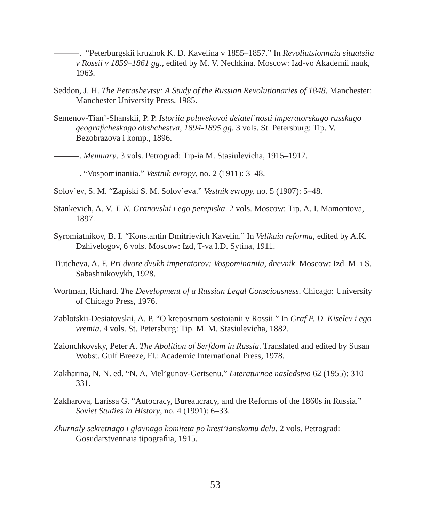- ———. "Peterburgskii kruzhok K. D. Kavelina v 1855–1857." In *Revoliutsionnaia situatsiia v Rossii v 1859–1861 gg*., edited by M. V. Nechkina. Moscow: Izd-vo Akademii nauk, 1963.
- Seddon, J. H. *The Petrashevtsy: A Study of the Russian Revolutionaries of 1848*. Manchester: Manchester University Press, 1985.
- Semenov-Tian'-Shanskii, P. P. *Istoriia poluvekovoi deiatel'nosti imperatorskago russkago geografi cheskago obshchestva, 1894-1895 gg*. 3 vols. St. Petersburg: Tip. V. Bezobrazova i komp., 1896.
- ———. *Memuary*. 3 vols. Petrograd: Tip-ia M. Stasiulevicha, 1915–1917.

———. "Vospominaniia." *Vestnik evropy*, no. 2 (1911): 3–48.

- Solov'ev, S. M. "Zapiski S. M. Solov'eva." *Vestnik evropy,* no. 5 (1907): 5–48.
- Stankevich, A. V. *T. N. Granovskii i ego perepiska*. 2 vols. Moscow: Tip. A. I. Mamontova, 1897.
- Syromiatnikov, B. I. "Konstantin Dmitrievich Kavelin." In *Velikaia reforma*, edited by A.K. Dzhivelogov, 6 vols. Moscow: Izd, T-va I.D. Sytina, 1911.
- Tiutcheva, A. F. *Pri dvore dvukh imperatorov: Vospominaniia, dnevnik*. Moscow: Izd. M. i S. Sabashnikovykh, 1928.
- Wortman, Richard. *The Development of a Russian Legal Consciousness*. Chicago: University of Chicago Press, 1976.
- Zablotskii-Desiatovskii, A. P. "O krepostnom sostoianii v Rossii." In *Graf P. D. Kiselev i ego vremia*. 4 vols. St. Petersburg: Tip. M. M. Stasiulevicha, 1882.
- Zaionchkovsky, Peter A. *The Abolition of Serfdom in Russia*. Translated and edited by Susan Wobst. Gulf Breeze, Fl.: Academic International Press, 1978.
- Zakharina, N. N. ed. "N. A. Mel'gunov-Gertsenu." *Literaturnoe nasledstvo* 62 (1955): 310– 331.
- Zakharova, Larissa G. "Autocracy, Bureaucracy, and the Reforms of the 1860s in Russia." *Soviet Studies in History*, no. 4 (1991): 6–33.
- *Zhurnaly sekretnago i glavnago komiteta po krest'ianskomu delu*. 2 vols. Petrograd: Gosudarstvennaia tipografiia, 1915.